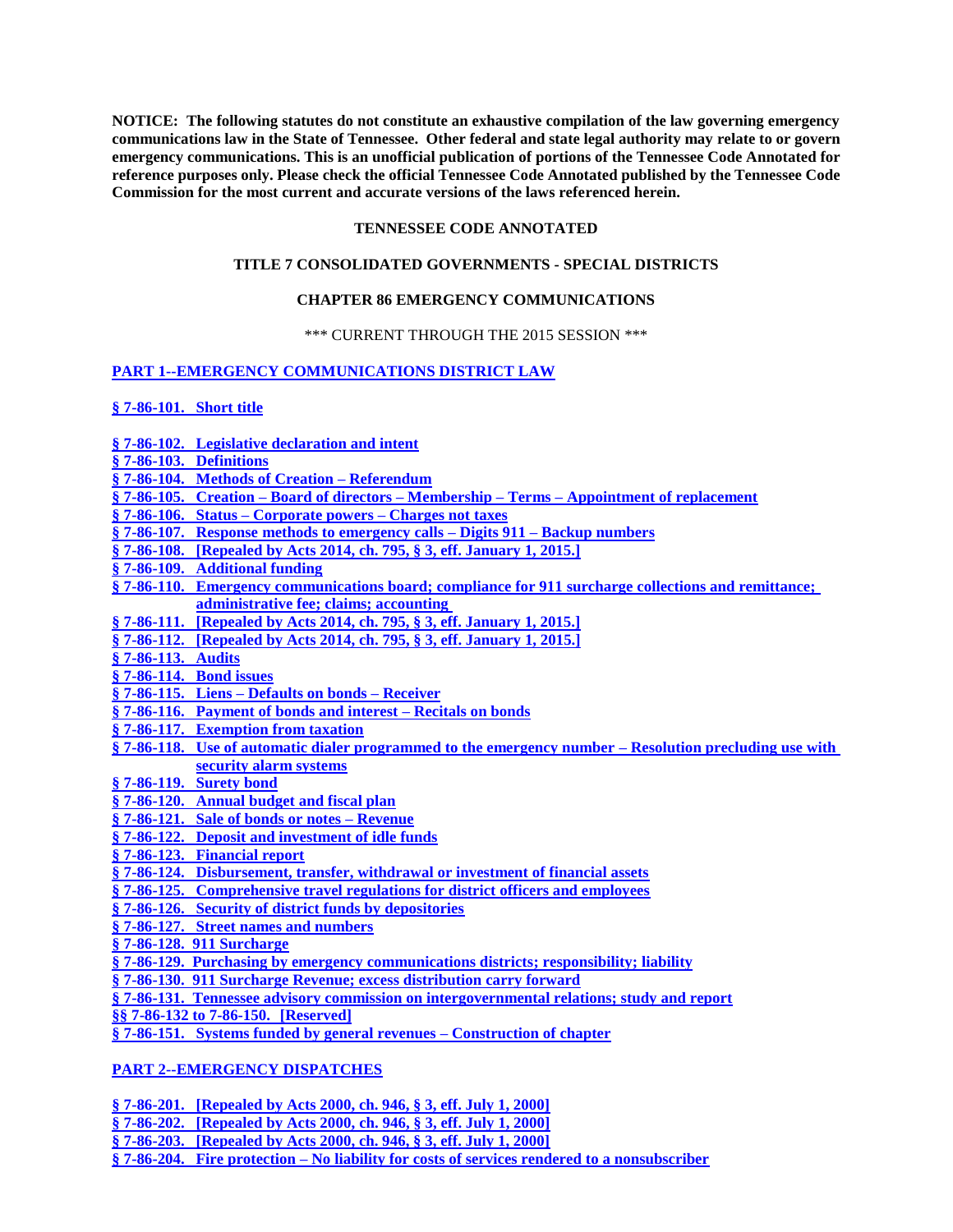**NOTICE: The following statutes do not constitute an exhaustive compilation of the law governing emergency communications law in the State of Tennessee. Other federal and state legal authority may relate to or govern emergency communications. This is an unofficial publication of portions of the Tennessee Code Annotated for reference purposes only. Please check the official Tennessee Code Annotated published by the Tennessee Code Commission for the most current and accurate versions of the laws referenced herein.**

## **TENNESSEE CODE ANNOTATED**

### **TITLE 7 CONSOLIDATED GOVERNMENTS - SPECIAL DISTRICTS**

# **CHAPTER 86 EMERGENCY COMMUNICATIONS**

## \*\*\* CURRENT THROUGH THE 2015 SESSION \*\*\*

# **[PART 1--EMERGENCY COMMUNICATIONS DISTRICT LAW](#page-1-0)**

**[§ 7-86-101.](#page-1-1) Short title**

- **§ 7-86-102. [Legislative declaration and intent](#page-1-2)**
- **[§ 7-86-103.](#page-2-0) Definitions**
- **§ 7-86-104. [Methods of Creation –](#page-4-0) Referendum**
- **§ 7-86-105. Creation – Board of directors – Membership – Terms – [Appointment of replacement](#page-4-1)**
- **§ 7-86-106. Status – [Corporate powers –](#page-6-0) Charges not taxes**
- **§ 7-86-107. [Response methods to emergency calls –](#page-7-0) Digits 911 – Backup numbers**
- **§ 7-86-108. [\[Repealed by Acts 2014, ch. 795, § 3, eff. January 1, 2015.\]](#page-7-1)**
- **§ 7-86-109. [Additional funding](#page-7-2)**
- **§ 7-86-110. [Emergency communications board; compliance for 911 surcharge collections and remittance;](#page-8-0)  [administrative fee; claims; accounting](#page-8-0)**
- **§ 7-86-111. [\[Repealed by Acts 2014, ch. 795, § 3, eff. January 1, 2015.\]](#page-8-1)**
- **§ 7-86-112. [\[Repealed by Acts 2014, ch. 795, § 3, eff. January 1, 2015.\]](#page-8-2)**
- **[§ 7-86-113.](#page-8-3) Audits**
- **§ 7-86-114. [Bond issues](#page-9-0)**
- **§ 7-86-115. Liens – [Defaults on bonds –](#page-10-0) Receiver**
- **§ 7-86-116. [Payment of bonds and interest –](#page-10-1) Recitals on bonds**
- **§ 7-86-117. [Exemption from taxation](#page-10-2)**
- **§ 7-86-118. [Use of automatic dialer programmed to the emergency number –](#page-10-3) Resolution precluding use with [security alarm systems](#page-10-3)**
- **§ 7-86-119. [Surety bond](#page-11-0)**
- **§ 7-86-120. [Annual budget and fiscal plan](#page-11-1)**
- **§ 7-86-121. [Sale of bonds or notes –](#page-12-0) Revenue**
- **§ 7-86-122. [Deposit and investment of idle funds](#page-12-1)**
- **§ 7-86-123. [Financial report](#page-12-2)**
- **§ 7-86-124. [Disbursement, transfer, withdrawal or investment of financial assets](#page-13-0)**
- **§ 7-86-125. [Comprehensive travel regulations for district officers and employees](#page-13-1)**
- **§ 7-86-126. [Security of district funds by depositories](#page-13-2)**
- **§ 7-86-127. [Street names and numbers](#page-13-3)**
- **§ 7-86-128. [911 Surcharge](#page-14-0)**
- **[§ 7-86-129. Purchasing by emergency communications districts; responsibility; liability](#page-15-0)**
- **[§ 7-86-130. 911 Surcharge Revenue; excess distribution carry forward](#page-15-1)**
- **[§ 7-86-131. Tennessee advisory commission on intergovernmental relations; study and report](#page-16-0)**
- **§§ 7-86-132 [to 7-86-150.](#page-16-1) [Reserved]**
- **§ 7-86-151. [Systems funded by general revenues –](#page-16-2) Construction of chapter**

# **[PART 2--EMERGENCY DISPATCHES](#page-17-0)**

- **§ 7-86-201. [\[Repealed by Acts 2000, ch. 946, § 3, eff. July 1, 2000\]](#page-17-1)**
- **§ 7-86-202. [Repealed by Acts 2000, [ch. 946, § 3, eff. July 1, 2000\]](#page-17-2)**
- **§ 7-86-203. [\[Repealed by Acts 2000, ch. 946, § 3, eff. July 1, 2000\]](#page-17-3)**
- **§ 7-86-204. Fire protection – [No liability for costs of services rendered to a nonsubscriber](#page-17-4)**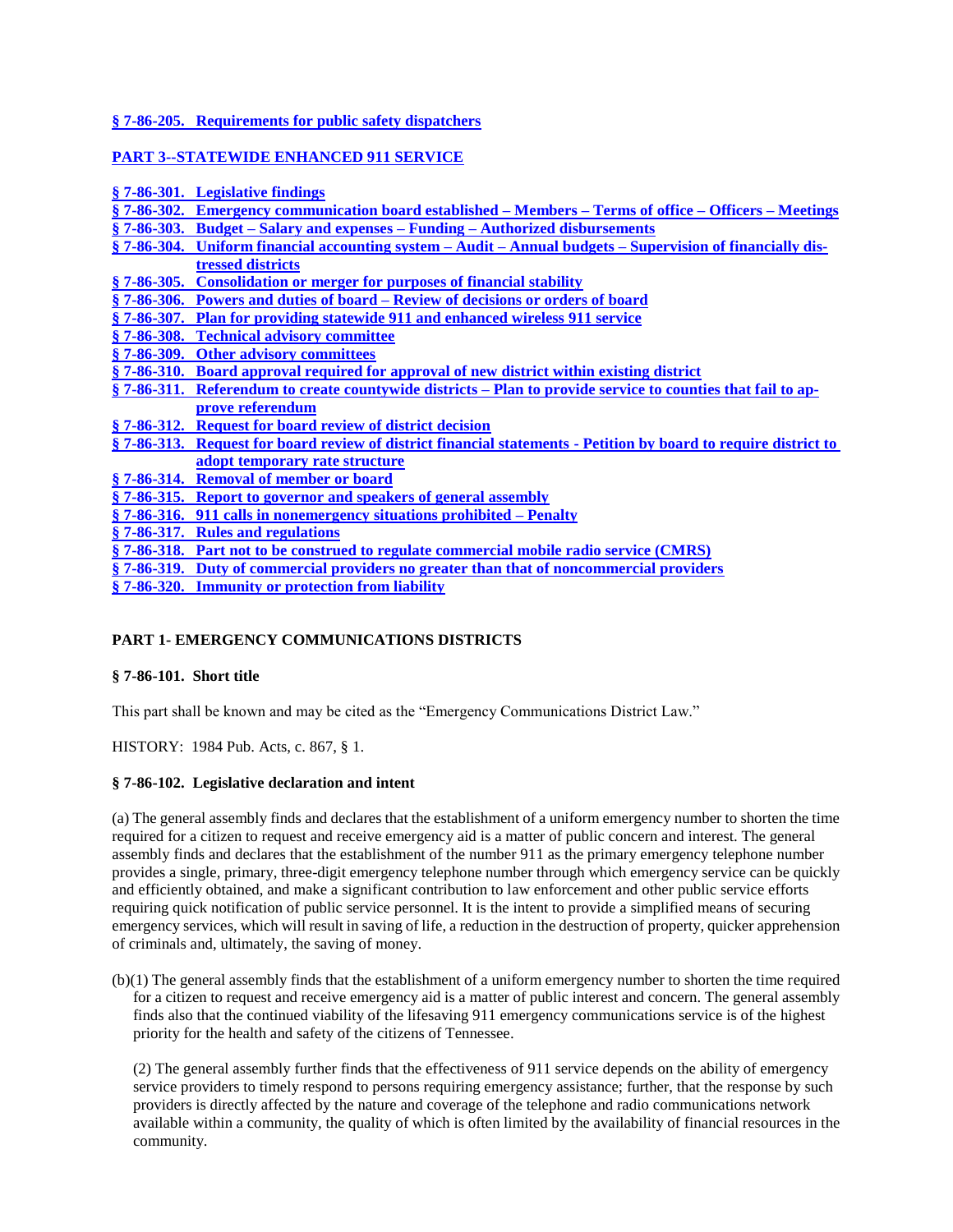# **§ 7-86-205. [Requirements for public safety dispatchers](#page-17-5)**

## **[PART 3--STATEWIDE ENHANCED 911 SERVICE](#page-19-0)**

| § 7-86-301. Legislative findings                                                                                 |
|------------------------------------------------------------------------------------------------------------------|
| § 7-86-302. Emergency communication board established – Members – Terms of office – Officers – Meetings          |
| <u>§ 7-86-303. Budget – Salary and expenses – Funding – Authorized disbursements</u>                             |
| § 7-86-304. Uniform financial accounting system – Audit – Annual budgets – Supervision of financially dis-       |
| tressed districts                                                                                                |
| § 7-86-305. Consolidation or merger for purposes of financial stability                                          |
| § 7-86-306. Powers and duties of board – Review of decisions or orders of board                                  |
| § 7-86-307. Plan for providing statewide 911 and enhanced wireless 911 service                                   |
| § 7-86-308. Technical advisory committee                                                                         |
| § 7-86-309. Other advisory committees                                                                            |
| § 7-86-310. Board approval required for approval of new district within existing district                        |
| § 7-86-311. Referendum to create countywide districts – Plan to provide service to counties that fail to ap-     |
| prove referendum                                                                                                 |
| § 7-86-312. Request for board review of district decision                                                        |
| § 7-86-313. Request for board review of district financial statements - Petition by board to require district to |
| adopt temporary rate structure                                                                                   |
| §7-86-314. Removal of member or board                                                                            |
| § 7-86-315. Report to governor and speakers of general assembly                                                  |
| $\S$ 7-86-316. 911 calls in nonemergency situations prohibited – Penalty                                         |
| § 7-86-317. Rules and regulations                                                                                |
| § 7-86-318. Part not to be construed to regulate commercial mobile radio service (CMRS)                          |
| § 7-86-319. Duty of commercial providers no greater than that of noncommercial providers                         |
| § 7-86-320. Immunity or protection from liability                                                                |
|                                                                                                                  |

# <span id="page-1-0"></span>**PART 1- EMERGENCY COMMUNICATIONS DISTRICTS**

### <span id="page-1-1"></span>**§ 7-86-101. Short title**

This part shall be known and may be cited as the "Emergency Communications District Law."

HISTORY: 1984 Pub. Acts, c. 867, § 1.

### <span id="page-1-2"></span>**§ 7-86-102. Legislative declaration and intent**

(a) The general assembly finds and declares that the establishment of a uniform emergency number to shorten the time required for a citizen to request and receive emergency aid is a matter of public concern and interest. The general assembly finds and declares that the establishment of the number 911 as the primary emergency telephone number provides a single, primary, three-digit emergency telephone number through which emergency service can be quickly and efficiently obtained, and make a significant contribution to law enforcement and other public service efforts requiring quick notification of public service personnel. It is the intent to provide a simplified means of securing emergency services, which will result in saving of life, a reduction in the destruction of property, quicker apprehension of criminals and, ultimately, the saving of money.

(b)(1) The general assembly finds that the establishment of a uniform emergency number to shorten the time required for a citizen to request and receive emergency aid is a matter of public interest and concern. The general assembly finds also that the continued viability of the lifesaving 911 emergency communications service is of the highest priority for the health and safety of the citizens of Tennessee.

(2) The general assembly further finds that the effectiveness of 911 service depends on the ability of emergency service providers to timely respond to persons requiring emergency assistance; further, that the response by such providers is directly affected by the nature and coverage of the telephone and radio communications network available within a community, the quality of which is often limited by the availability of financial resources in the community.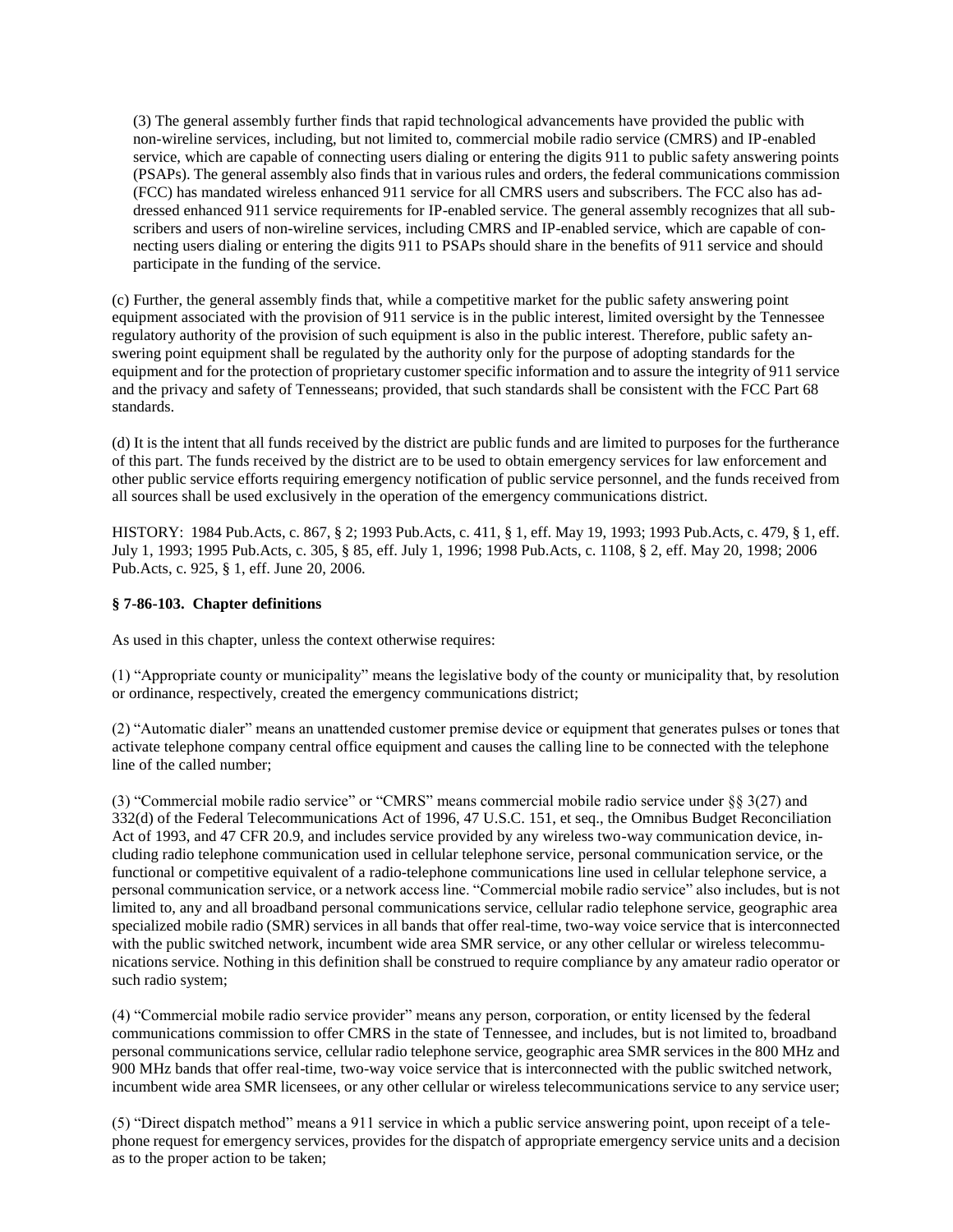(3) The general assembly further finds that rapid technological advancements have provided the public with non-wireline services, including, but not limited to, commercial mobile radio service (CMRS) and IP-enabled service, which are capable of connecting users dialing or entering the digits 911 to public safety answering points (PSAPs). The general assembly also finds that in various rules and orders, the federal communications commission (FCC) has mandated wireless enhanced 911 service for all CMRS users and subscribers. The FCC also has addressed enhanced 911 service requirements for IP-enabled service. The general assembly recognizes that all subscribers and users of non-wireline services, including CMRS and IP-enabled service, which are capable of connecting users dialing or entering the digits 911 to PSAPs should share in the benefits of 911 service and should participate in the funding of the service.

(c) Further, the general assembly finds that, while a competitive market for the public safety answering point equipment associated with the provision of 911 service is in the public interest, limited oversight by the Tennessee regulatory authority of the provision of such equipment is also in the public interest. Therefore, public safety answering point equipment shall be regulated by the authority only for the purpose of adopting standards for the equipment and for the protection of proprietary customer specific information and to assure the integrity of 911 service and the privacy and safety of Tennesseans; provided, that such standards shall be consistent with the FCC Part 68 standards.

(d) It is the intent that all funds received by the district are public funds and are limited to purposes for the furtherance of this part. The funds received by the district are to be used to obtain emergency services for law enforcement and other public service efforts requiring emergency notification of public service personnel, and the funds received from all sources shall be used exclusively in the operation of the emergency communications district.

HISTORY: 1984 Pub.Acts, c. 867, § 2; 1993 Pub.Acts, c. 411, § 1, eff. May 19, 1993; 1993 Pub.Acts, c. 479, § 1, eff. July 1, 1993; 1995 Pub.Acts, c. 305, § 85, eff. July 1, 1996; 1998 Pub.Acts, c. 1108, § 2, eff. May 20, 1998; 2006 Pub.Acts, c. 925, § 1, eff. June 20, 2006.

# <span id="page-2-0"></span>**§ 7-86-103. Chapter definitions**

As used in this chapter, unless the context otherwise requires:

(1) "Appropriate county or municipality" means the legislative body of the county or municipality that, by resolution or ordinance, respectively, created the emergency communications district;

(2) "Automatic dialer" means an unattended customer premise device or equipment that generates pulses or tones that activate telephone company central office equipment and causes the calling line to be connected with the telephone line of the called number;

(3) "Commercial mobile radio service" or "CMRS" means commercial mobile radio service under §§ 3(27) and 332(d) of the Federal Telecommunications Act of 1996, 47 U.S.C. 151, et seq., the Omnibus Budget Reconciliation Act of 1993, and 47 CFR 20.9, and includes service provided by any wireless two-way communication device, including radio telephone communication used in cellular telephone service, personal communication service, or the functional or competitive equivalent of a radio-telephone communications line used in cellular telephone service, a personal communication service, or a network access line. "Commercial mobile radio service" also includes, but is not limited to, any and all broadband personal communications service, cellular radio telephone service, geographic area specialized mobile radio (SMR) services in all bands that offer real-time, two-way voice service that is interconnected with the public switched network, incumbent wide area SMR service, or any other cellular or wireless telecommunications service. Nothing in this definition shall be construed to require compliance by any amateur radio operator or such radio system;

(4) "Commercial mobile radio service provider" means any person, corporation, or entity licensed by the federal communications commission to offer CMRS in the state of Tennessee, and includes, but is not limited to, broadband personal communications service, cellular radio telephone service, geographic area SMR services in the 800 MHz and 900 MHz bands that offer real-time, two-way voice service that is interconnected with the public switched network, incumbent wide area SMR licensees, or any other cellular or wireless telecommunications service to any service user;

(5) "Direct dispatch method" means a 911 service in which a public service answering point, upon receipt of a telephone request for emergency services, provides for the dispatch of appropriate emergency service units and a decision as to the proper action to be taken;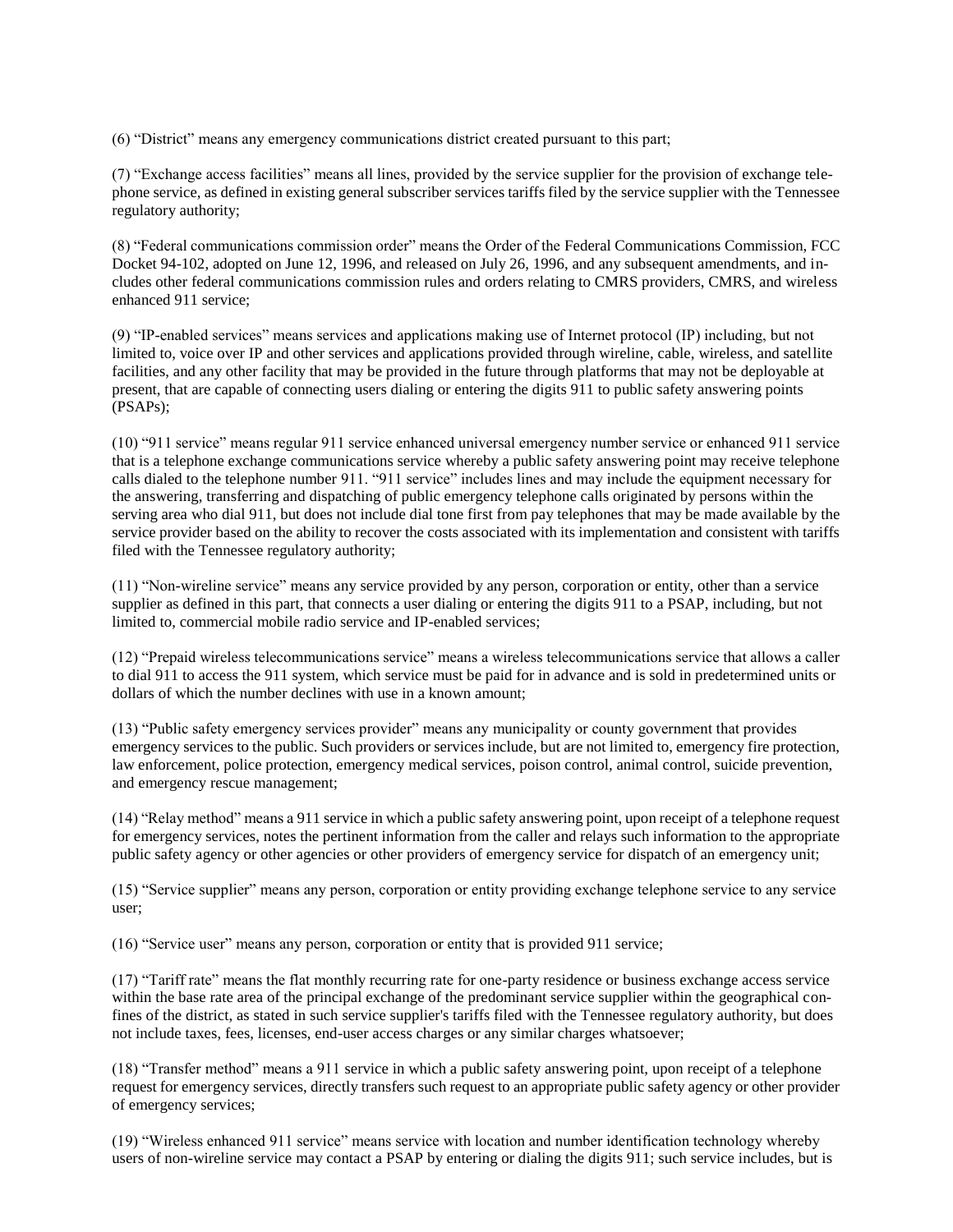(6) "District" means any emergency communications district created pursuant to this part;

(7) "Exchange access facilities" means all lines, provided by the service supplier for the provision of exchange telephone service, as defined in existing general subscriber services tariffs filed by the service supplier with the Tennessee regulatory authority;

(8) "Federal communications commission order" means the Order of the Federal Communications Commission, FCC Docket 94-102, adopted on June 12, 1996, and released on July 26, 1996, and any subsequent amendments, and includes other federal communications commission rules and orders relating to CMRS providers, CMRS, and wireless enhanced 911 service;

(9) "IP-enabled services" means services and applications making use of Internet protocol (IP) including, but not limited to, voice over IP and other services and applications provided through wireline, cable, wireless, and satellite facilities, and any other facility that may be provided in the future through platforms that may not be deployable at present, that are capable of connecting users dialing or entering the digits 911 to public safety answering points (PSAPs);

(10) "911 service" means regular 911 service enhanced universal emergency number service or enhanced 911 service that is a telephone exchange communications service whereby a public safety answering point may receive telephone calls dialed to the telephone number 911. "911 service" includes lines and may include the equipment necessary for the answering, transferring and dispatching of public emergency telephone calls originated by persons within the serving area who dial 911, but does not include dial tone first from pay telephones that may be made available by the service provider based on the ability to recover the costs associated with its implementation and consistent with tariffs filed with the Tennessee regulatory authority;

(11) "Non-wireline service" means any service provided by any person, corporation or entity, other than a service supplier as defined in this part, that connects a user dialing or entering the digits 911 to a PSAP, including, but not limited to, commercial mobile radio service and IP-enabled services;

(12) "Prepaid wireless telecommunications service" means a wireless telecommunications service that allows a caller to dial 911 to access the 911 system, which service must be paid for in advance and is sold in predetermined units or dollars of which the number declines with use in a known amount;

(13) "Public safety emergency services provider" means any municipality or county government that provides emergency services to the public. Such providers or services include, but are not limited to, emergency fire protection, law enforcement, police protection, emergency medical services, poison control, animal control, suicide prevention, and emergency rescue management;

(14) "Relay method" means a 911 service in which a public safety answering point, upon receipt of a telephone request for emergency services, notes the pertinent information from the caller and relays such information to the appropriate public safety agency or other agencies or other providers of emergency service for dispatch of an emergency unit;

(15) "Service supplier" means any person, corporation or entity providing exchange telephone service to any service user;

(16) "Service user" means any person, corporation or entity that is provided 911 service;

(17) "Tariff rate" means the flat monthly recurring rate for one-party residence or business exchange access service within the base rate area of the principal exchange of the predominant service supplier within the geographical confines of the district, as stated in such service supplier's tariffs filed with the Tennessee regulatory authority, but does not include taxes, fees, licenses, end-user access charges or any similar charges whatsoever;

(18) "Transfer method" means a 911 service in which a public safety answering point, upon receipt of a telephone request for emergency services, directly transfers such request to an appropriate public safety agency or other provider of emergency services;

(19) "Wireless enhanced 911 service" means service with location and number identification technology whereby users of non-wireline service may contact a PSAP by entering or dialing the digits 911; such service includes, but is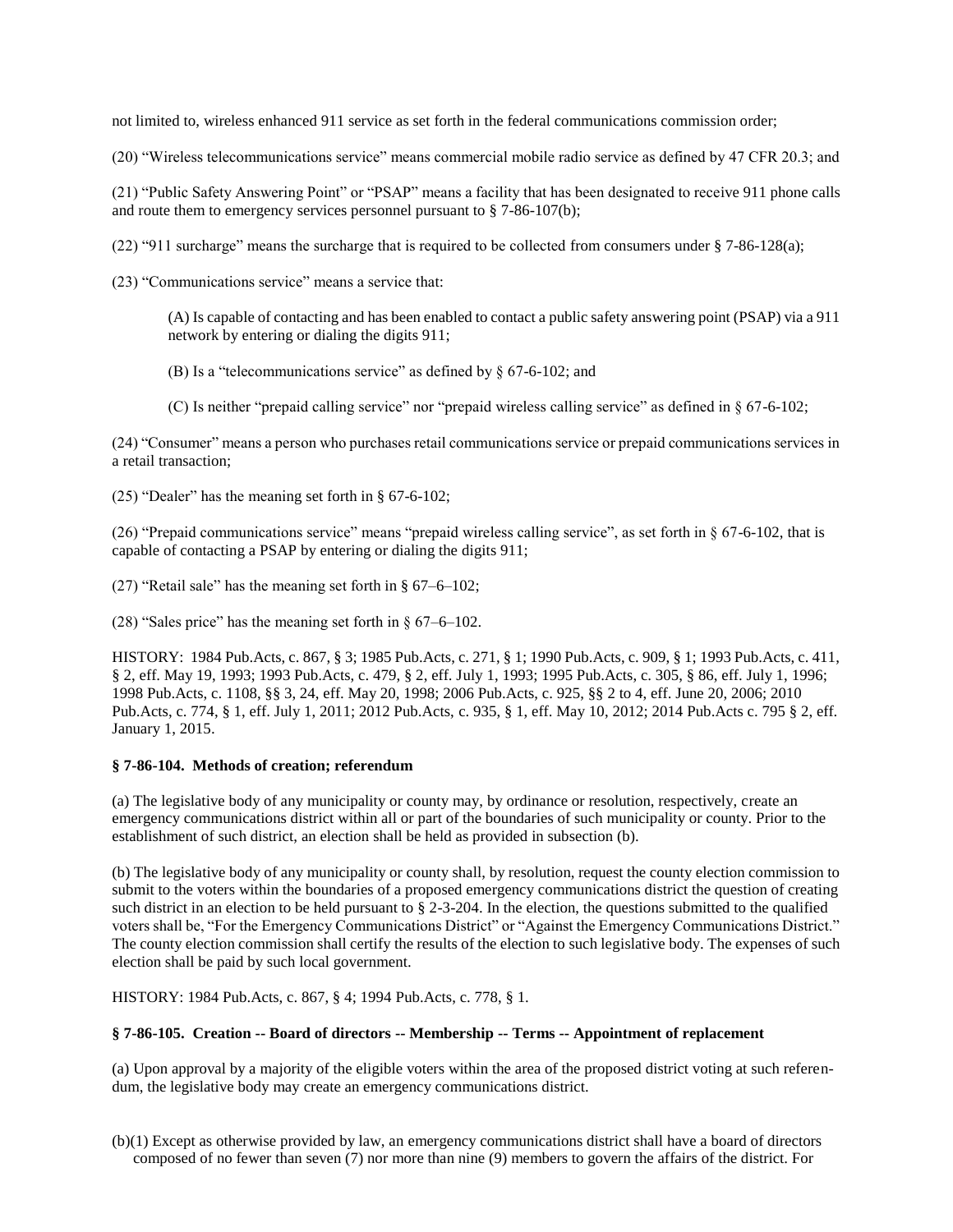not limited to, wireless enhanced 911 service as set forth in the federal communications commission order;

(20) "Wireless telecommunications service" means commercial mobile radio service as defined by 47 CFR 20.3; and

(21) "Public Safety Answering Point" or "PSAP" means a facility that has been designated to receive 911 phone calls and route them to emergency services personnel pursuant to § 7-86-107(b);

(22) "911 surcharge" means the surcharge that is required to be collected from consumers under § 7-86-128(a);

(23) "Communications service" means a service that:

(A) Is capable of contacting and has been enabled to contact a public safety answering point (PSAP) via a 911 network by entering or dialing the digits 911;

(B) Is a "telecommunications service" as defined by § 67-6-102; and

(C) Is neither "prepaid calling service" nor "prepaid wireless calling service" as defined in § 67-6-102;

(24) "Consumer" means a person who purchases retail communications service or prepaid communications services in a retail transaction;

(25) "Dealer" has the meaning set forth in § 67-6-102;

(26) "Prepaid communications service" means "prepaid wireless calling service", as set forth in § 67-6-102, that is capable of contacting a PSAP by entering or dialing the digits 911;

(27) "Retail sale" has the meaning set forth in § 67–6–102;

(28) "Sales price" has the meaning set forth in § 67–6–102.

HISTORY: 1984 Pub.Acts, c. 867, § 3; 1985 Pub.Acts, c. 271, § 1; 1990 Pub.Acts, c. 909, § 1; 1993 Pub.Acts, c. 411, § 2, eff. May 19, 1993; 1993 Pub.Acts, c. 479, § 2, eff. July 1, 1993; 1995 Pub.Acts, c. 305, § 86, eff. July 1, 1996; 1998 Pub.Acts, c. 1108, §§ 3, 24, eff. May 20, 1998; 2006 Pub.Acts, c. 925, §§ 2 to 4, eff. June 20, 2006; 2010 Pub.Acts, c. 774, § 1, eff. July 1, 2011; 2012 Pub.Acts, c. 935, § 1, eff. May 10, 2012; 2014 Pub.Acts c. 795 § 2, eff. January 1, 2015.

### <span id="page-4-0"></span>**§ 7-86-104. Methods of creation; referendum**

(a) The legislative body of any municipality or county may, by ordinance or resolution, respectively, create an emergency communications district within all or part of the boundaries of such municipality or county. Prior to the establishment of such district, an election shall be held as provided in subsection (b).

(b) The legislative body of any municipality or county shall, by resolution, request the county election commission to submit to the voters within the boundaries of a proposed emergency communications district the question of creating such district in an election to be held pursuant to § 2-3-204. In the election, the questions submitted to the qualified voters shall be, "For the Emergency Communications District" or "Against the Emergency Communications District." The county election commission shall certify the results of the election to such legislative body. The expenses of such election shall be paid by such local government.

HISTORY: 1984 Pub.Acts, c. 867, § 4; 1994 Pub.Acts, c. 778, § 1.

### <span id="page-4-1"></span>**§ 7-86-105. Creation -- Board of directors -- Membership -- Terms -- Appointment of replacement**

(a) Upon approval by a majority of the eligible voters within the area of the proposed district voting at such referendum, the legislative body may create an emergency communications district.

<sup>(</sup>b)(1) Except as otherwise provided by law, an emergency communications district shall have a board of directors composed of no fewer than seven (7) nor more than nine (9) members to govern the affairs of the district. For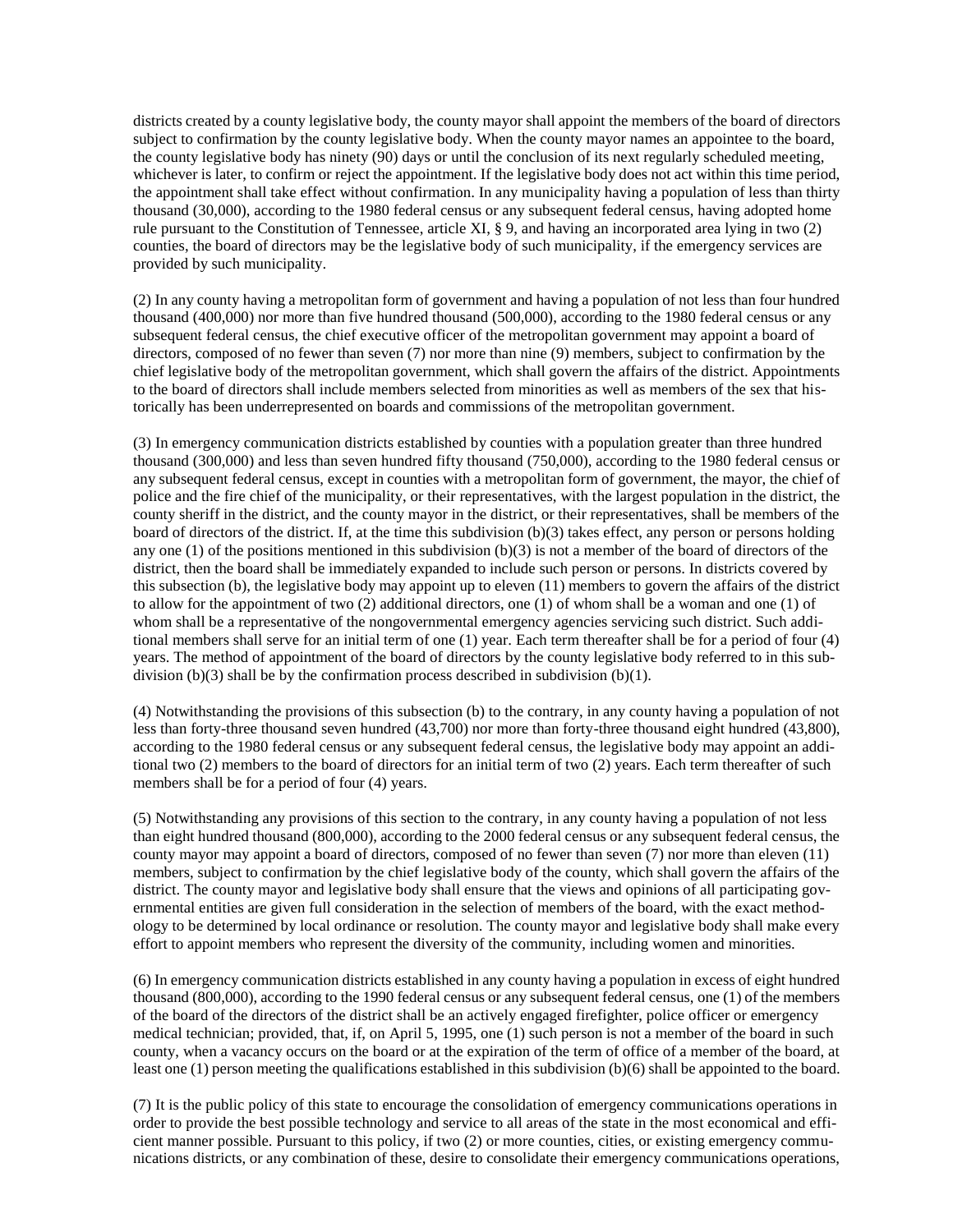districts created by a county legislative body, the county mayor shall appoint the members of the board of directors subject to confirmation by the county legislative body. When the county mayor names an appointee to the board, the county legislative body has ninety (90) days or until the conclusion of its next regularly scheduled meeting, whichever is later, to confirm or reject the appointment. If the legislative body does not act within this time period, the appointment shall take effect without confirmation. In any municipality having a population of less than thirty thousand (30,000), according to the 1980 federal census or any subsequent federal census, having adopted home rule pursuant to the Constitution of Tennessee, article XI, § 9, and having an incorporated area lying in two (2) counties, the board of directors may be the legislative body of such municipality, if the emergency services are provided by such municipality.

(2) In any county having a metropolitan form of government and having a population of not less than four hundred thousand (400,000) nor more than five hundred thousand (500,000), according to the 1980 federal census or any subsequent federal census, the chief executive officer of the metropolitan government may appoint a board of directors, composed of no fewer than seven (7) nor more than nine (9) members, subject to confirmation by the chief legislative body of the metropolitan government, which shall govern the affairs of the district. Appointments to the board of directors shall include members selected from minorities as well as members of the sex that historically has been underrepresented on boards and commissions of the metropolitan government.

(3) In emergency communication districts established by counties with a population greater than three hundred thousand (300,000) and less than seven hundred fifty thousand (750,000), according to the 1980 federal census or any subsequent federal census, except in counties with a metropolitan form of government, the mayor, the chief of police and the fire chief of the municipality, or their representatives, with the largest population in the district, the county sheriff in the district, and the county mayor in the district, or their representatives, shall be members of the board of directors of the district. If, at the time this subdivision (b)(3) takes effect, any person or persons holding any one (1) of the positions mentioned in this subdivision (b)(3) is not a member of the board of directors of the district, then the board shall be immediately expanded to include such person or persons. In districts covered by this subsection (b), the legislative body may appoint up to eleven (11) members to govern the affairs of the district to allow for the appointment of two (2) additional directors, one (1) of whom shall be a woman and one (1) of whom shall be a representative of the nongovernmental emergency agencies servicing such district. Such additional members shall serve for an initial term of one (1) year. Each term thereafter shall be for a period of four (4) years. The method of appointment of the board of directors by the county legislative body referred to in this subdivision (b)(3) shall be by the confirmation process described in subdivision (b)(1).

(4) Notwithstanding the provisions of this subsection (b) to the contrary, in any county having a population of not less than forty-three thousand seven hundred (43,700) nor more than forty-three thousand eight hundred (43,800), according to the 1980 federal census or any subsequent federal census, the legislative body may appoint an additional two (2) members to the board of directors for an initial term of two (2) years. Each term thereafter of such members shall be for a period of four (4) years.

(5) Notwithstanding any provisions of this section to the contrary, in any county having a population of not less than eight hundred thousand (800,000), according to the 2000 federal census or any subsequent federal census, the county mayor may appoint a board of directors, composed of no fewer than seven (7) nor more than eleven (11) members, subject to confirmation by the chief legislative body of the county, which shall govern the affairs of the district. The county mayor and legislative body shall ensure that the views and opinions of all participating governmental entities are given full consideration in the selection of members of the board, with the exact methodology to be determined by local ordinance or resolution. The county mayor and legislative body shall make every effort to appoint members who represent the diversity of the community, including women and minorities.

(6) In emergency communication districts established in any county having a population in excess of eight hundred thousand (800,000), according to the 1990 federal census or any subsequent federal census, one (1) of the members of the board of the directors of the district shall be an actively engaged firefighter, police officer or emergency medical technician; provided, that, if, on April 5, 1995, one (1) such person is not a member of the board in such county, when a vacancy occurs on the board or at the expiration of the term of office of a member of the board, at least one (1) person meeting the qualifications established in this subdivision (b)(6) shall be appointed to the board.

(7) It is the public policy of this state to encourage the consolidation of emergency communications operations in order to provide the best possible technology and service to all areas of the state in the most economical and efficient manner possible. Pursuant to this policy, if two (2) or more counties, cities, or existing emergency communications districts, or any combination of these, desire to consolidate their emergency communications operations,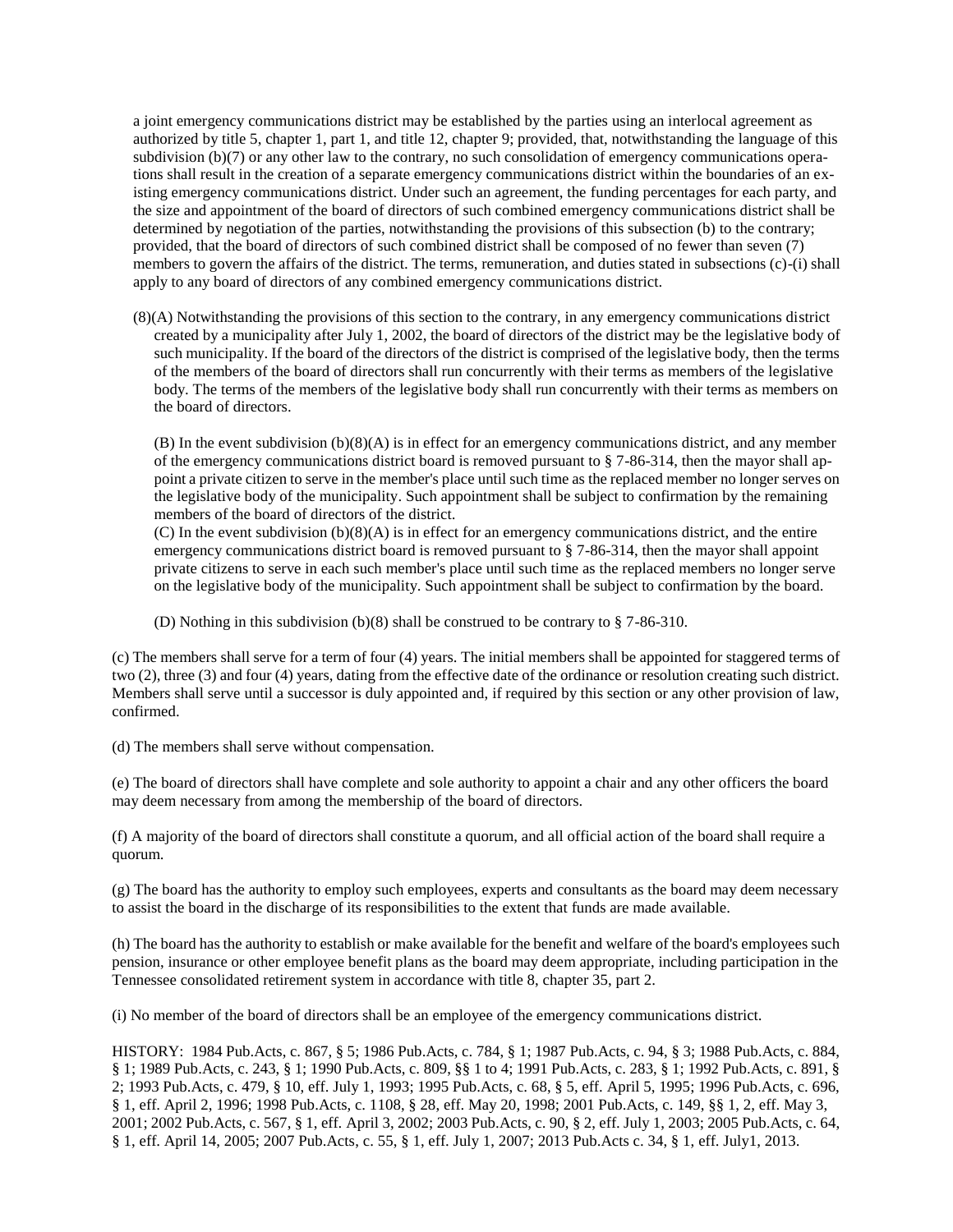a joint emergency communications district may be established by the parties using an interlocal agreement as authorized by title 5, chapter 1, part 1, and title 12, chapter 9; provided, that, notwithstanding the language of this subdivision (b)(7) or any other law to the contrary, no such consolidation of emergency communications operations shall result in the creation of a separate emergency communications district within the boundaries of an existing emergency communications district. Under such an agreement, the funding percentages for each party, and the size and appointment of the board of directors of such combined emergency communications district shall be determined by negotiation of the parties, notwithstanding the provisions of this subsection (b) to the contrary; provided, that the board of directors of such combined district shall be composed of no fewer than seven (7) members to govern the affairs of the district. The terms, remuneration, and duties stated in subsections (c)-(i) shall apply to any board of directors of any combined emergency communications district.

(8)(A) Notwithstanding the provisions of this section to the contrary, in any emergency communications district created by a municipality after July 1, 2002, the board of directors of the district may be the legislative body of such municipality. If the board of the directors of the district is comprised of the legislative body, then the terms of the members of the board of directors shall run concurrently with their terms as members of the legislative body. The terms of the members of the legislative body shall run concurrently with their terms as members on the board of directors.

(B) In the event subdivision (b)(8)(A) is in effect for an emergency communications district, and any member of the emergency communications district board is removed pursuant to  $\S$  7-86-314, then the mayor shall appoint a private citizen to serve in the member's place until such time as the replaced member no longer serves on the legislative body of the municipality. Such appointment shall be subject to confirmation by the remaining members of the board of directors of the district.

(C) In the event subdivision (b)(8)(A) is in effect for an emergency communications district, and the entire emergency communications district board is removed pursuant to § 7-86-314, then the mayor shall appoint private citizens to serve in each such member's place until such time as the replaced members no longer serve on the legislative body of the municipality. Such appointment shall be subject to confirmation by the board.

(D) Nothing in this subdivision (b)(8) shall be construed to be contrary to § 7-86-310.

(c) The members shall serve for a term of four (4) years. The initial members shall be appointed for staggered terms of two (2), three (3) and four (4) years, dating from the effective date of the ordinance or resolution creating such district. Members shall serve until a successor is duly appointed and, if required by this section or any other provision of law, confirmed.

(d) The members shall serve without compensation.

(e) The board of directors shall have complete and sole authority to appoint a chair and any other officers the board may deem necessary from among the membership of the board of directors.

(f) A majority of the board of directors shall constitute a quorum, and all official action of the board shall require a quorum.

(g) The board has the authority to employ such employees, experts and consultants as the board may deem necessary to assist the board in the discharge of its responsibilities to the extent that funds are made available.

(h) The board has the authority to establish or make available for the benefit and welfare of the board's employees such pension, insurance or other employee benefit plans as the board may deem appropriate, including participation in the Tennessee consolidated retirement system in accordance with title 8, chapter 35, part 2.

(i) No member of the board of directors shall be an employee of the emergency communications district.

<span id="page-6-0"></span>HISTORY: 1984 Pub.Acts, c. 867, § 5; 1986 Pub.Acts, c. 784, § 1; 1987 Pub.Acts, c. 94, § 3; 1988 Pub.Acts, c. 884, § 1; 1989 Pub.Acts, c. 243, § 1; 1990 Pub.Acts, c. 809, §§ 1 to 4; 1991 Pub.Acts, c. 283, § 1; 1992 Pub.Acts, c. 891, § 2; 1993 Pub.Acts, c. 479, § 10, eff. July 1, 1993; 1995 Pub.Acts, c. 68, § 5, eff. April 5, 1995; 1996 Pub.Acts, c. 696, § 1, eff. April 2, 1996; 1998 Pub.Acts, c. 1108, § 28, eff. May 20, 1998; 2001 Pub.Acts, c. 149, §§ 1, 2, eff. May 3, 2001; 2002 Pub.Acts, c. 567, § 1, eff. April 3, 2002; 2003 Pub.Acts, c. 90, § 2, eff. July 1, 2003; 2005 Pub.Acts, c. 64, § 1, eff. April 14, 2005; 2007 Pub.Acts, c. 55, § 1, eff. July 1, 2007; 2013 Pub.Acts c. 34, § 1, eff. July1, 2013.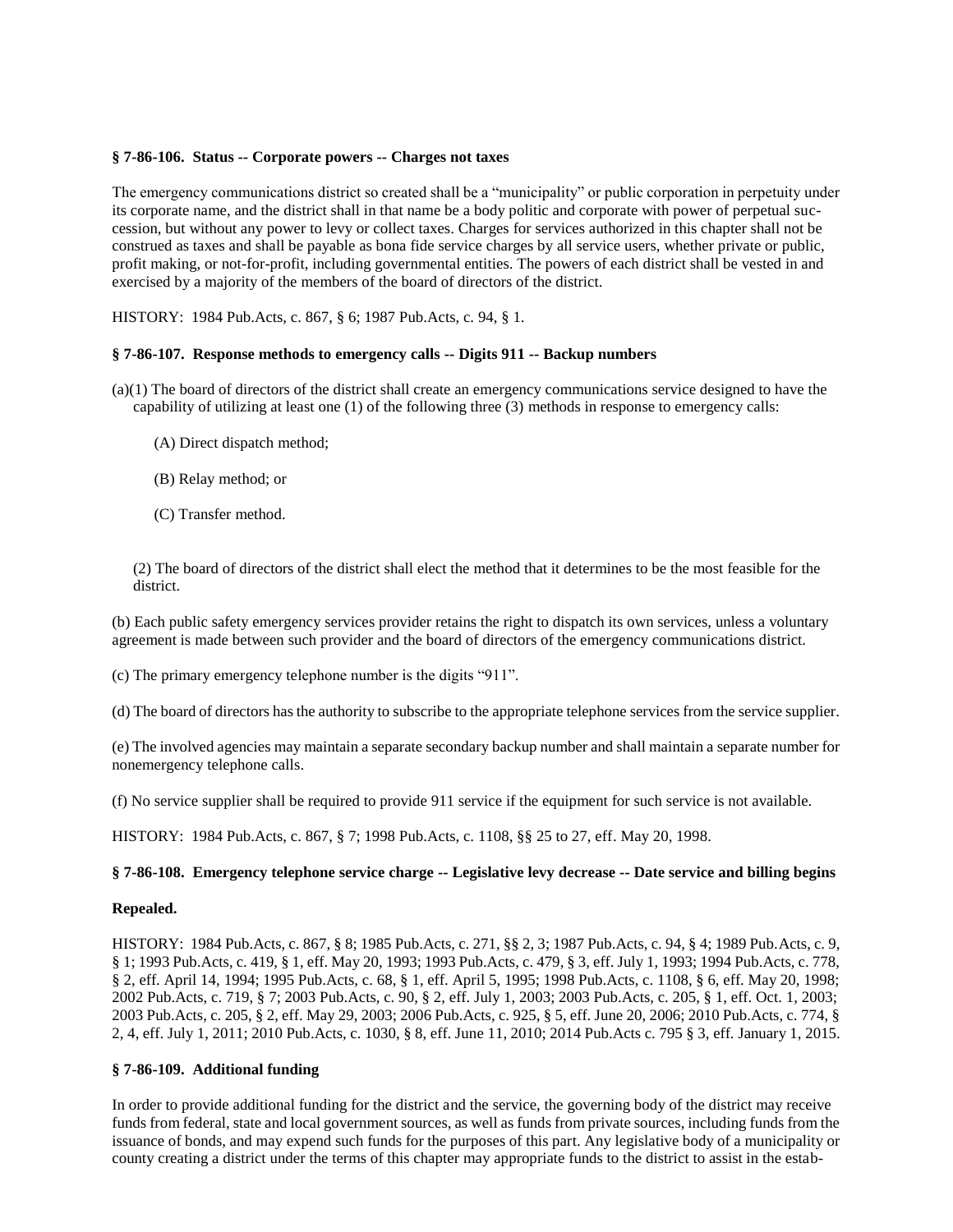### **§ 7-86-106. Status -- Corporate powers -- Charges not taxes**

The emergency communications district so created shall be a "municipality" or public corporation in perpetuity under its corporate name, and the district shall in that name be a body politic and corporate with power of perpetual succession, but without any power to levy or collect taxes. Charges for services authorized in this chapter shall not be construed as taxes and shall be payable as bona fide service charges by all service users, whether private or public, profit making, or not-for-profit, including governmental entities. The powers of each district shall be vested in and exercised by a majority of the members of the board of directors of the district.

HISTORY: 1984 Pub.Acts, c. 867, § 6; 1987 Pub.Acts, c. 94, § 1.

## <span id="page-7-0"></span>**§ 7-86-107. Response methods to emergency calls -- Digits 911 -- Backup numbers**

(a)(1) The board of directors of the district shall create an emergency communications service designed to have the capability of utilizing at least one (1) of the following three (3) methods in response to emergency calls:

- (A) Direct dispatch method;
- (B) Relay method; or
- (C) Transfer method.

(2) The board of directors of the district shall elect the method that it determines to be the most feasible for the district.

(b) Each public safety emergency services provider retains the right to dispatch its own services, unless a voluntary agreement is made between such provider and the board of directors of the emergency communications district.

(c) The primary emergency telephone number is the digits "911".

(d) The board of directors has the authority to subscribe to the appropriate telephone services from the service supplier.

(e) The involved agencies may maintain a separate secondary backup number and shall maintain a separate number for nonemergency telephone calls.

(f) No service supplier shall be required to provide 911 service if the equipment for such service is not available.

HISTORY: 1984 Pub.Acts, c. 867, § 7; 1998 Pub.Acts, c. 1108, §§ 25 to 27, eff. May 20, 1998.

# <span id="page-7-1"></span>**§ 7-86-108. Emergency telephone service charge -- Legislative levy decrease -- Date service and billing begins**

### **Repealed.**

HISTORY: 1984 Pub.Acts, c. 867, § 8; 1985 Pub.Acts, c. 271, §§ 2, 3; 1987 Pub.Acts, c. 94, § 4; 1989 Pub.Acts, c. 9, § 1; 1993 Pub.Acts, c. 419, § 1, eff. May 20, 1993; 1993 Pub.Acts, c. 479, § 3, eff. July 1, 1993; 1994 Pub.Acts, c. 778, § 2, eff. April 14, 1994; 1995 Pub.Acts, c. 68, § 1, eff. April 5, 1995; 1998 Pub.Acts, c. 1108, § 6, eff. May 20, 1998; 2002 Pub.Acts, c. 719, § 7; 2003 Pub.Acts, c. 90, § 2, eff. July 1, 2003; 2003 Pub.Acts, c. 205, § 1, eff. Oct. 1, 2003; 2003 Pub.Acts, c. 205, § 2, eff. May 29, 2003; 2006 Pub.Acts, c. 925, § 5, eff. June 20, 2006; 2010 Pub.Acts, c. 774, § 2, 4, eff. July 1, 2011; 2010 Pub.Acts, c. 1030, § 8, eff. June 11, 2010; 2014 Pub.Acts c. 795 § 3, eff. January 1, 2015.

# <span id="page-7-2"></span>**§ 7-86-109. Additional funding**

In order to provide additional funding for the district and the service, the governing body of the district may receive funds from federal, state and local government sources, as well as funds from private sources, including funds from the issuance of bonds, and may expend such funds for the purposes of this part. Any legislative body of a municipality or county creating a district under the terms of this chapter may appropriate funds to the district to assist in the estab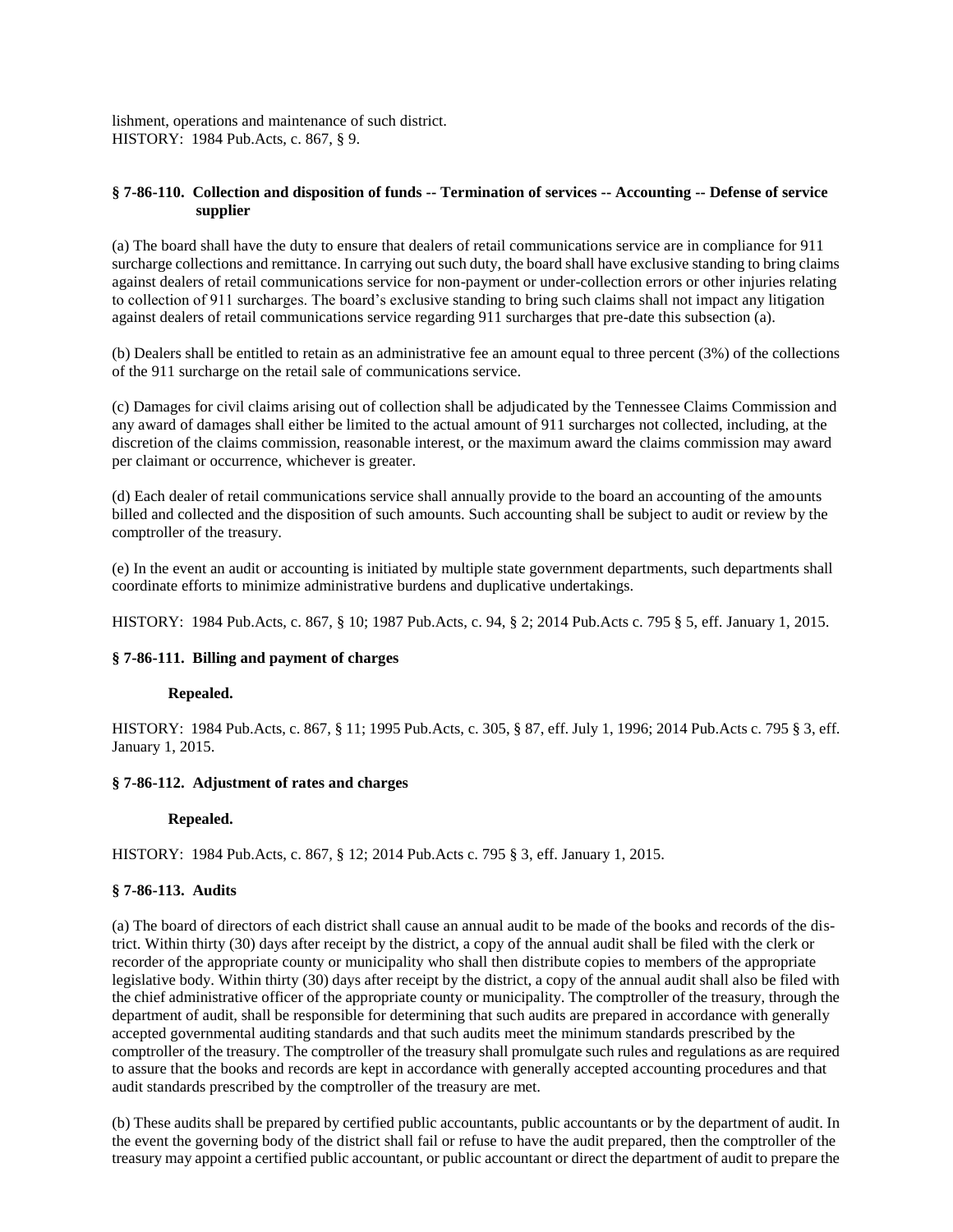lishment, operations and maintenance of such district. HISTORY: 1984 Pub.Acts, c. 867, § 9.

### <span id="page-8-0"></span>**§ 7-86-110. Collection and disposition of funds -- Termination of services -- Accounting -- Defense of service supplier**

(a) The board shall have the duty to ensure that dealers of retail communications service are in compliance for 911 surcharge collections and remittance. In carrying out such duty, the board shall have exclusive standing to bring claims against dealers of retail communications service for non-payment or under-collection errors or other injuries relating to collection of 911 surcharges. The board's exclusive standing to bring such claims shall not impact any litigation against dealers of retail communications service regarding 911 surcharges that pre-date this subsection (a).

(b) Dealers shall be entitled to retain as an administrative fee an amount equal to three percent (3%) of the collections of the 911 surcharge on the retail sale of communications service.

(c) Damages for civil claims arising out of collection shall be adjudicated by the Tennessee Claims Commission and any award of damages shall either be limited to the actual amount of 911 surcharges not collected, including, at the discretion of the claims commission, reasonable interest, or the maximum award the claims commission may award per claimant or occurrence, whichever is greater.

(d) Each dealer of retail communications service shall annually provide to the board an accounting of the amounts billed and collected and the disposition of such amounts. Such accounting shall be subject to audit or review by the comptroller of the treasury.

(e) In the event an audit or accounting is initiated by multiple state government departments, such departments shall coordinate efforts to minimize administrative burdens and duplicative undertakings.

<span id="page-8-1"></span>HISTORY: 1984 Pub.Acts, c. 867, § 10; 1987 Pub.Acts, c. 94, § 2; 2014 Pub.Acts c. 795 § 5, eff. January 1, 2015.

### **§ 7-86-111. Billing and payment of charges**

### **Repealed.**

HISTORY: 1984 Pub.Acts, c. 867, § 11; 1995 Pub.Acts, c. 305, § 87, eff. July 1, 1996; 2014 Pub.Acts c. 795 § 3, eff. January 1, 2015.

### <span id="page-8-2"></span>**§ 7-86-112. Adjustment of rates and charges**

#### **Repealed.**

HISTORY: 1984 Pub.Acts, c. 867, § 12; 2014 Pub.Acts c. 795 § 3, eff. January 1, 2015.

#### <span id="page-8-3"></span>**§ 7-86-113. Audits**

(a) The board of directors of each district shall cause an annual audit to be made of the books and records of the district. Within thirty (30) days after receipt by the district, a copy of the annual audit shall be filed with the clerk or recorder of the appropriate county or municipality who shall then distribute copies to members of the appropriate legislative body. Within thirty (30) days after receipt by the district, a copy of the annual audit shall also be filed with the chief administrative officer of the appropriate county or municipality. The comptroller of the treasury, through the department of audit, shall be responsible for determining that such audits are prepared in accordance with generally accepted governmental auditing standards and that such audits meet the minimum standards prescribed by the comptroller of the treasury. The comptroller of the treasury shall promulgate such rules and regulations as are required to assure that the books and records are kept in accordance with generally accepted accounting procedures and that audit standards prescribed by the comptroller of the treasury are met.

(b) These audits shall be prepared by certified public accountants, public accountants or by the department of audit. In the event the governing body of the district shall fail or refuse to have the audit prepared, then the comptroller of the treasury may appoint a certified public accountant, or public accountant or direct the department of audit to prepare the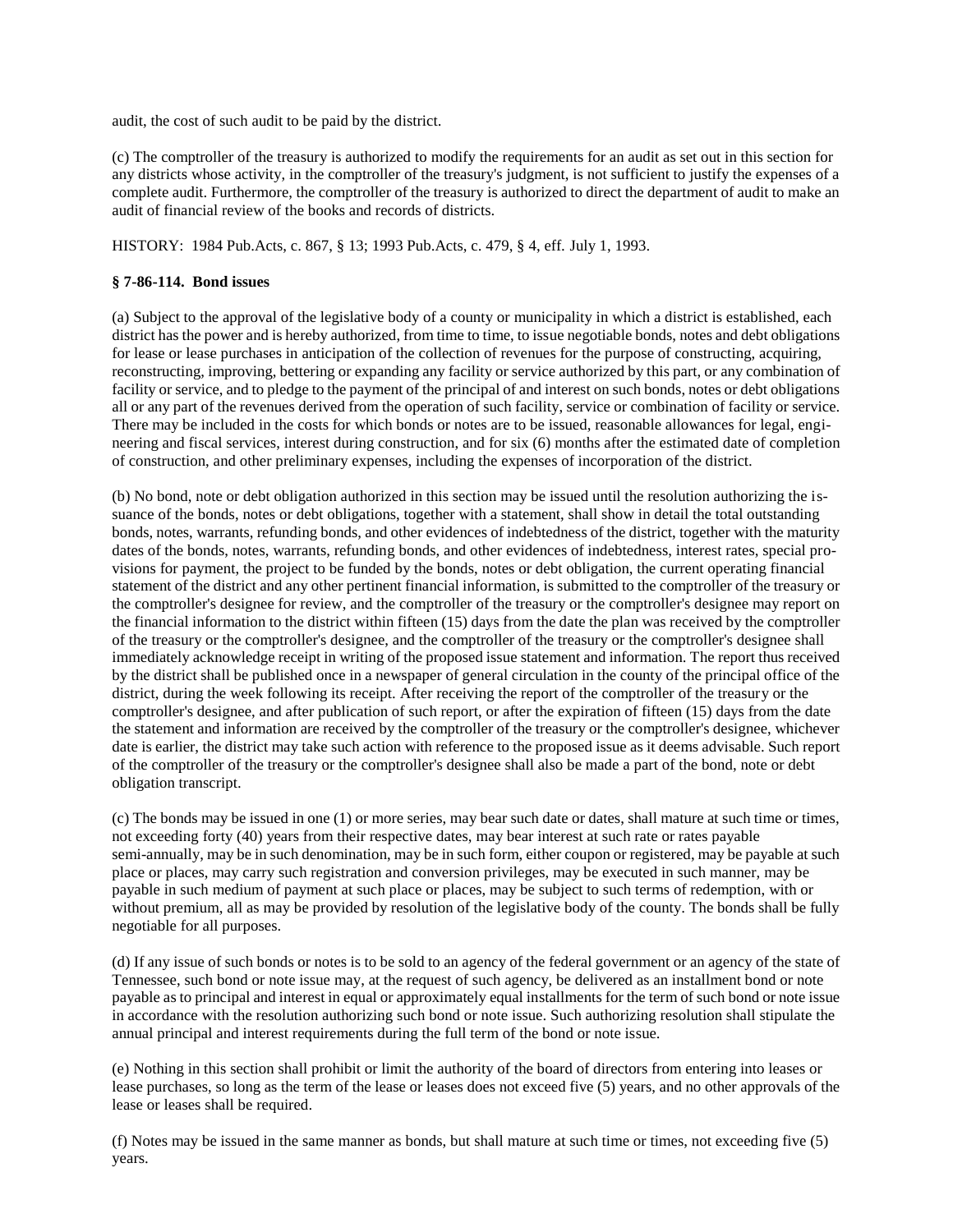audit, the cost of such audit to be paid by the district.

(c) The comptroller of the treasury is authorized to modify the requirements for an audit as set out in this section for any districts whose activity, in the comptroller of the treasury's judgment, is not sufficient to justify the expenses of a complete audit. Furthermore, the comptroller of the treasury is authorized to direct the department of audit to make an audit of financial review of the books and records of districts.

HISTORY: 1984 Pub.Acts, c. 867, § 13; 1993 Pub.Acts, c. 479, § 4, eff. July 1, 1993.

## <span id="page-9-0"></span>**§ 7-86-114. Bond issues**

(a) Subject to the approval of the legislative body of a county or municipality in which a district is established, each district has the power and is hereby authorized, from time to time, to issue negotiable bonds, notes and debt obligations for lease or lease purchases in anticipation of the collection of revenues for the purpose of constructing, acquiring, reconstructing, improving, bettering or expanding any facility or service authorized by this part, or any combination of facility or service, and to pledge to the payment of the principal of and interest on such bonds, notes or debt obligations all or any part of the revenues derived from the operation of such facility, service or combination of facility or service. There may be included in the costs for which bonds or notes are to be issued, reasonable allowances for legal, engineering and fiscal services, interest during construction, and for six (6) months after the estimated date of completion of construction, and other preliminary expenses, including the expenses of incorporation of the district.

(b) No bond, note or debt obligation authorized in this section may be issued until the resolution authorizing the issuance of the bonds, notes or debt obligations, together with a statement, shall show in detail the total outstanding bonds, notes, warrants, refunding bonds, and other evidences of indebtedness of the district, together with the maturity dates of the bonds, notes, warrants, refunding bonds, and other evidences of indebtedness, interest rates, special provisions for payment, the project to be funded by the bonds, notes or debt obligation, the current operating financial statement of the district and any other pertinent financial information, is submitted to the comptroller of the treasury or the comptroller's designee for review, and the comptroller of the treasury or the comptroller's designee may report on the financial information to the district within fifteen (15) days from the date the plan was received by the comptroller of the treasury or the comptroller's designee, and the comptroller of the treasury or the comptroller's designee shall immediately acknowledge receipt in writing of the proposed issue statement and information. The report thus received by the district shall be published once in a newspaper of general circulation in the county of the principal office of the district, during the week following its receipt. After receiving the report of the comptroller of the treasury or the comptroller's designee, and after publication of such report, or after the expiration of fifteen (15) days from the date the statement and information are received by the comptroller of the treasury or the comptroller's designee, whichever date is earlier, the district may take such action with reference to the proposed issue as it deems advisable. Such report of the comptroller of the treasury or the comptroller's designee shall also be made a part of the bond, note or debt obligation transcript.

(c) The bonds may be issued in one (1) or more series, may bear such date or dates, shall mature at such time or times, not exceeding forty (40) years from their respective dates, may bear interest at such rate or rates payable semi-annually, may be in such denomination, may be in such form, either coupon or registered, may be payable at such place or places, may carry such registration and conversion privileges, may be executed in such manner, may be payable in such medium of payment at such place or places, may be subject to such terms of redemption, with or without premium, all as may be provided by resolution of the legislative body of the county. The bonds shall be fully negotiable for all purposes.

(d) If any issue of such bonds or notes is to be sold to an agency of the federal government or an agency of the state of Tennessee, such bond or note issue may, at the request of such agency, be delivered as an installment bond or note payable as to principal and interest in equal or approximately equal installments for the term of such bond or note issue in accordance with the resolution authorizing such bond or note issue. Such authorizing resolution shall stipulate the annual principal and interest requirements during the full term of the bond or note issue.

(e) Nothing in this section shall prohibit or limit the authority of the board of directors from entering into leases or lease purchases, so long as the term of the lease or leases does not exceed five (5) years, and no other approvals of the lease or leases shall be required.

(f) Notes may be issued in the same manner as bonds, but shall mature at such time or times, not exceeding five (5) years.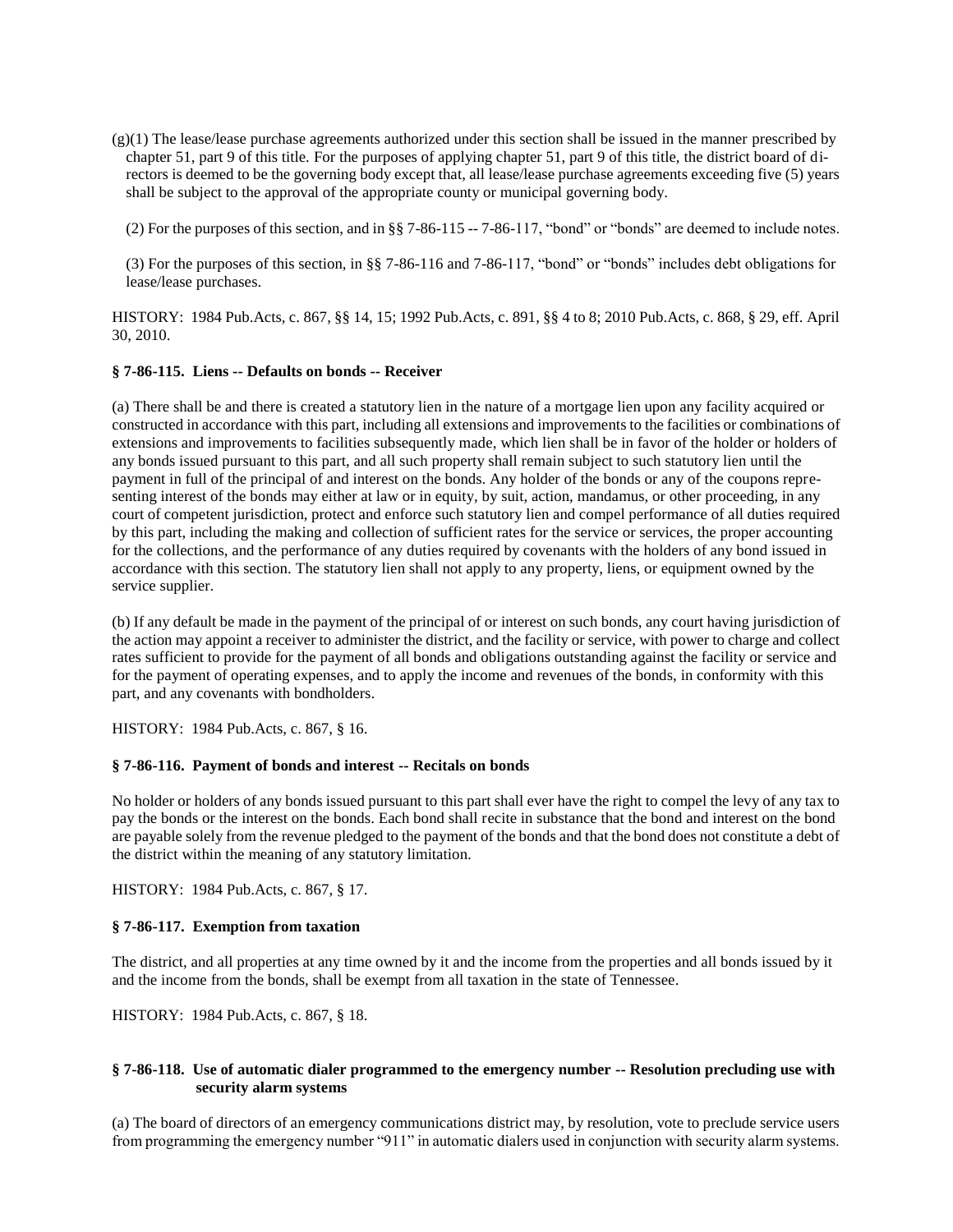$(g)(1)$  The lease/lease purchase agreements authorized under this section shall be issued in the manner prescribed by chapter 51, part 9 of this title. For the purposes of applying chapter 51, part 9 of this title, the district board of directors is deemed to be the governing body except that, all lease/lease purchase agreements exceeding five (5) years shall be subject to the approval of the appropriate county or municipal governing body.

(2) For the purposes of this section, and in §§ 7-86-115 -- 7-86-117, "bond" or "bonds" are deemed to include notes.

(3) For the purposes of this section, in §§ 7-86-116 and 7-86-117, "bond" or "bonds" includes debt obligations for lease/lease purchases.

HISTORY: 1984 Pub.Acts, c. 867, §§ 14, 15; 1992 Pub.Acts, c. 891, §§ 4 to 8; 2010 Pub.Acts, c. 868, § 29, eff. April 30, 2010.

#### <span id="page-10-0"></span>**§ 7-86-115. Liens -- Defaults on bonds -- Receiver**

(a) There shall be and there is created a statutory lien in the nature of a mortgage lien upon any facility acquired or constructed in accordance with this part, including all extensions and improvements to the facilities or combinations of extensions and improvements to facilities subsequently made, which lien shall be in favor of the holder or holders of any bonds issued pursuant to this part, and all such property shall remain subject to such statutory lien until the payment in full of the principal of and interest on the bonds. Any holder of the bonds or any of the coupons representing interest of the bonds may either at law or in equity, by suit, action, mandamus, or other proceeding, in any court of competent jurisdiction, protect and enforce such statutory lien and compel performance of all duties required by this part, including the making and collection of sufficient rates for the service or services, the proper accounting for the collections, and the performance of any duties required by covenants with the holders of any bond issued in accordance with this section. The statutory lien shall not apply to any property, liens, or equipment owned by the service supplier.

(b) If any default be made in the payment of the principal of or interest on such bonds, any court having jurisdiction of the action may appoint a receiver to administer the district, and the facility or service, with power to charge and collect rates sufficient to provide for the payment of all bonds and obligations outstanding against the facility or service and for the payment of operating expenses, and to apply the income and revenues of the bonds, in conformity with this part, and any covenants with bondholders.

HISTORY: 1984 Pub.Acts, c. 867, § 16.

### <span id="page-10-1"></span>**§ 7-86-116. Payment of bonds and interest -- Recitals on bonds**

No holder or holders of any bonds issued pursuant to this part shall ever have the right to compel the levy of any tax to pay the bonds or the interest on the bonds. Each bond shall recite in substance that the bond and interest on the bond are payable solely from the revenue pledged to the payment of the bonds and that the bond does not constitute a debt of the district within the meaning of any statutory limitation.

HISTORY: 1984 Pub.Acts, c. 867, § 17.

### <span id="page-10-2"></span>**§ 7-86-117. Exemption from taxation**

The district, and all properties at any time owned by it and the income from the properties and all bonds issued by it and the income from the bonds, shall be exempt from all taxation in the state of Tennessee.

HISTORY: 1984 Pub.Acts, c. 867, § 18.

## <span id="page-10-3"></span>**§ 7-86-118. Use of automatic dialer programmed to the emergency number -- Resolution precluding use with security alarm systems**

(a) The board of directors of an emergency communications district may, by resolution, vote to preclude service users from programming the emergency number "911" in automatic dialers used in conjunction with security alarm systems.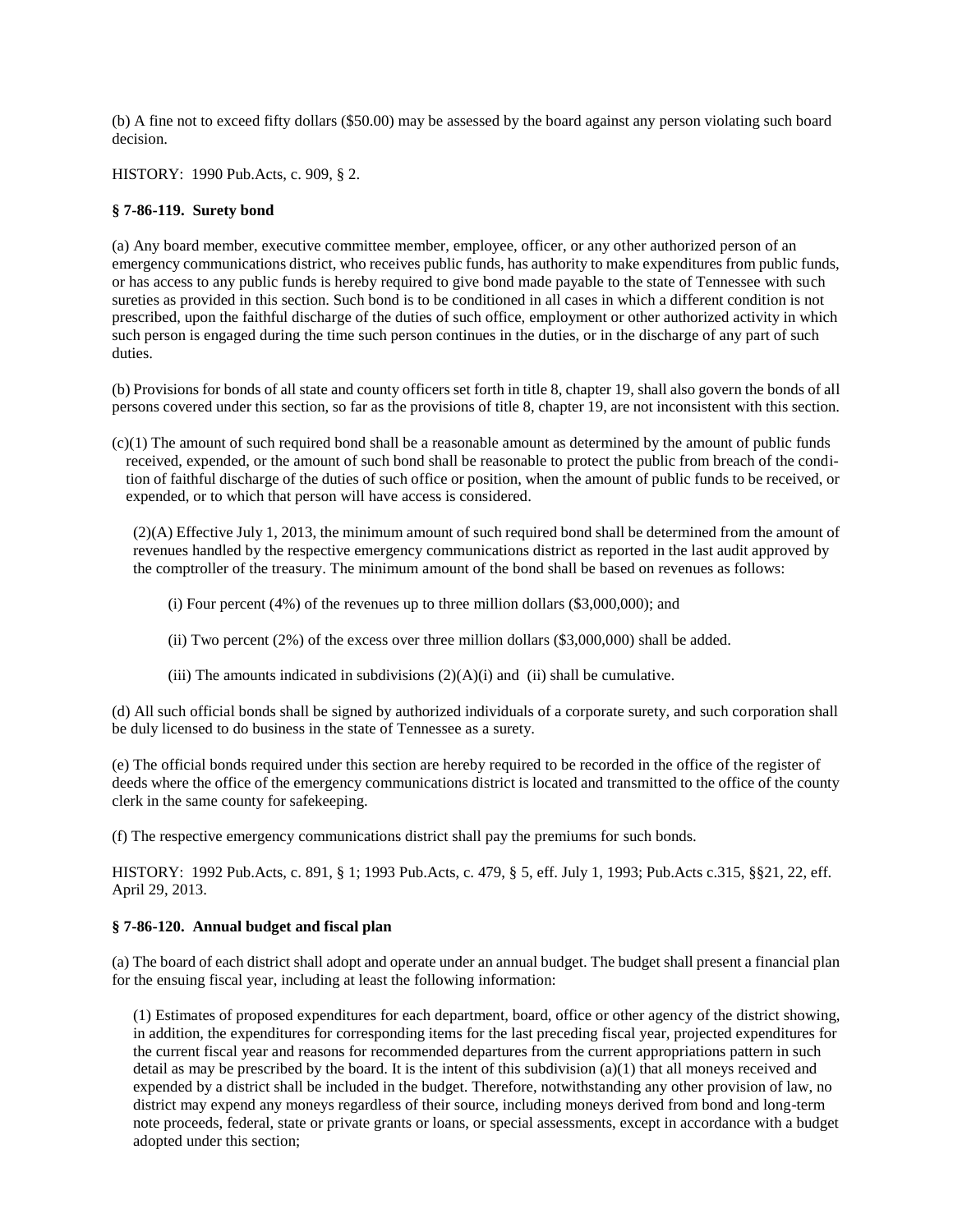(b) A fine not to exceed fifty dollars (\$50.00) may be assessed by the board against any person violating such board decision.

HISTORY: 1990 Pub.Acts, c. 909, § 2.

### <span id="page-11-0"></span>**§ 7-86-119. Surety bond**

(a) Any board member, executive committee member, employee, officer, or any other authorized person of an emergency communications district, who receives public funds, has authority to make expenditures from public funds, or has access to any public funds is hereby required to give bond made payable to the state of Tennessee with such sureties as provided in this section. Such bond is to be conditioned in all cases in which a different condition is not prescribed, upon the faithful discharge of the duties of such office, employment or other authorized activity in which such person is engaged during the time such person continues in the duties, or in the discharge of any part of such duties.

(b) Provisions for bonds of all state and county officers set forth in title 8, chapter 19, shall also govern the bonds of all persons covered under this section, so far as the provisions of title 8, chapter 19, are not inconsistent with this section.

 $(c)(1)$  The amount of such required bond shall be a reasonable amount as determined by the amount of public funds received, expended, or the amount of such bond shall be reasonable to protect the public from breach of the condition of faithful discharge of the duties of such office or position, when the amount of public funds to be received, or expended, or to which that person will have access is considered.

(2)(A) Effective July 1, 2013, the minimum amount of such required bond shall be determined from the amount of revenues handled by the respective emergency communications district as reported in the last audit approved by the comptroller of the treasury. The minimum amount of the bond shall be based on revenues as follows:

(i) Four percent  $(4\%)$  of the revenues up to three million dollars  $(\$3,000,000)$ ; and

(ii) Two percent  $(2%)$  of the excess over three million dollars  $(\$3,000,000)$  shall be added.

(iii) The amounts indicated in subdivisions  $(2)(A)(i)$  and (ii) shall be cumulative.

(d) All such official bonds shall be signed by authorized individuals of a corporate surety, and such corporation shall be duly licensed to do business in the state of Tennessee as a surety.

(e) The official bonds required under this section are hereby required to be recorded in the office of the register of deeds where the office of the emergency communications district is located and transmitted to the office of the county clerk in the same county for safekeeping.

(f) The respective emergency communications district shall pay the premiums for such bonds.

HISTORY: 1992 Pub.Acts, c. 891, § 1; 1993 Pub.Acts, c. 479, § 5, eff. July 1, 1993; Pub.Acts c.315, §§21, 22, eff. April 29, 2013.

### <span id="page-11-1"></span>**§ 7-86-120. Annual budget and fiscal plan**

(a) The board of each district shall adopt and operate under an annual budget. The budget shall present a financial plan for the ensuing fiscal year, including at least the following information:

(1) Estimates of proposed expenditures for each department, board, office or other agency of the district showing, in addition, the expenditures for corresponding items for the last preceding fiscal year, projected expenditures for the current fiscal year and reasons for recommended departures from the current appropriations pattern in such detail as may be prescribed by the board. It is the intent of this subdivision (a)(1) that all moneys received and expended by a district shall be included in the budget. Therefore, notwithstanding any other provision of law, no district may expend any moneys regardless of their source, including moneys derived from bond and long-term note proceeds, federal, state or private grants or loans, or special assessments, except in accordance with a budget adopted under this section;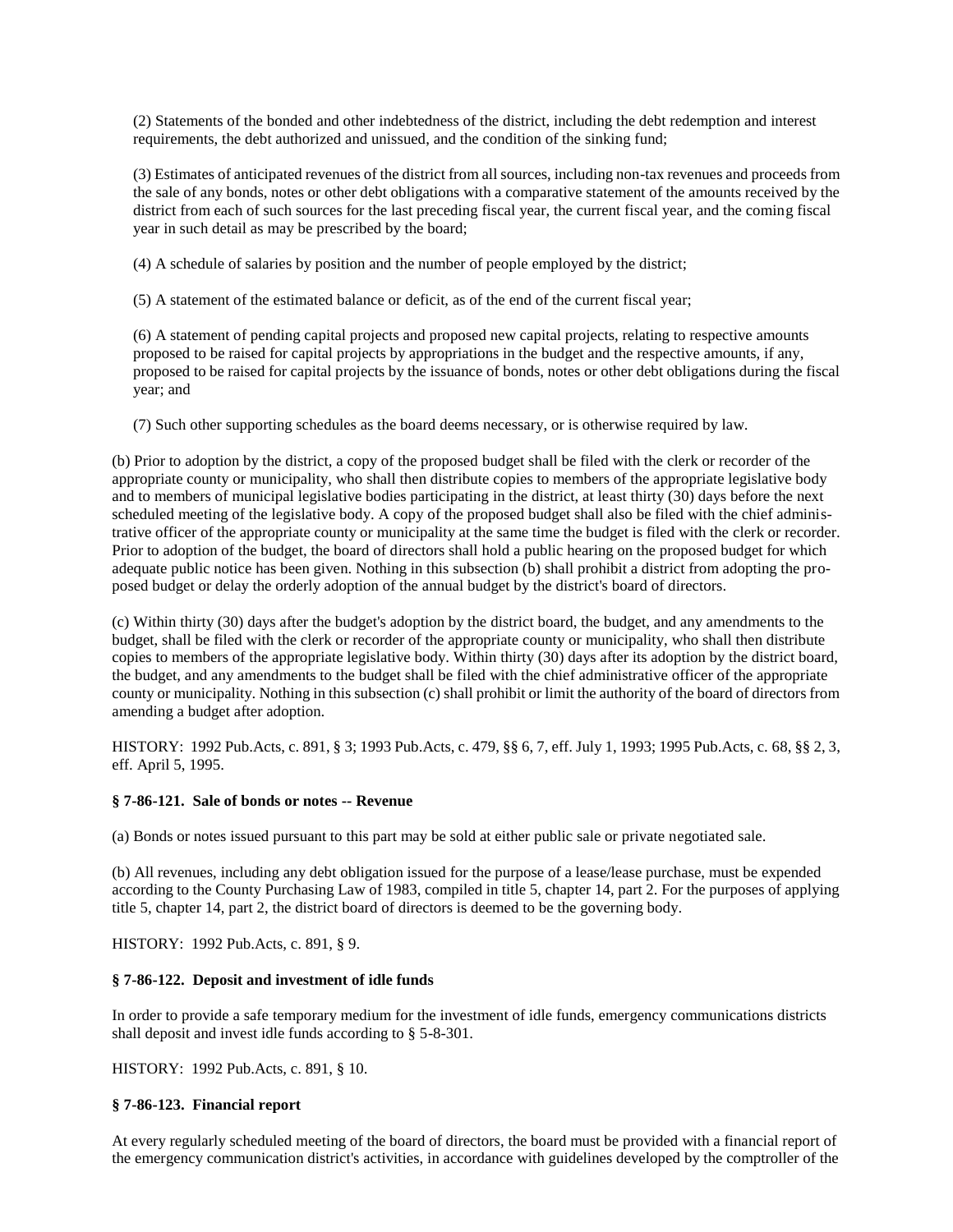(2) Statements of the bonded and other indebtedness of the district, including the debt redemption and interest requirements, the debt authorized and unissued, and the condition of the sinking fund;

(3) Estimates of anticipated revenues of the district from all sources, including non-tax revenues and proceeds from the sale of any bonds, notes or other debt obligations with a comparative statement of the amounts received by the district from each of such sources for the last preceding fiscal year, the current fiscal year, and the coming fiscal year in such detail as may be prescribed by the board;

(4) A schedule of salaries by position and the number of people employed by the district;

(5) A statement of the estimated balance or deficit, as of the end of the current fiscal year;

(6) A statement of pending capital projects and proposed new capital projects, relating to respective amounts proposed to be raised for capital projects by appropriations in the budget and the respective amounts, if any, proposed to be raised for capital projects by the issuance of bonds, notes or other debt obligations during the fiscal year; and

(7) Such other supporting schedules as the board deems necessary, or is otherwise required by law.

(b) Prior to adoption by the district, a copy of the proposed budget shall be filed with the clerk or recorder of the appropriate county or municipality, who shall then distribute copies to members of the appropriate legislative body and to members of municipal legislative bodies participating in the district, at least thirty (30) days before the next scheduled meeting of the legislative body. A copy of the proposed budget shall also be filed with the chief administrative officer of the appropriate county or municipality at the same time the budget is filed with the clerk or recorder. Prior to adoption of the budget, the board of directors shall hold a public hearing on the proposed budget for which adequate public notice has been given. Nothing in this subsection (b) shall prohibit a district from adopting the proposed budget or delay the orderly adoption of the annual budget by the district's board of directors.

(c) Within thirty (30) days after the budget's adoption by the district board, the budget, and any amendments to the budget, shall be filed with the clerk or recorder of the appropriate county or municipality, who shall then distribute copies to members of the appropriate legislative body. Within thirty (30) days after its adoption by the district board, the budget, and any amendments to the budget shall be filed with the chief administrative officer of the appropriate county or municipality. Nothing in this subsection (c) shall prohibit or limit the authority of the board of directors from amending a budget after adoption.

<span id="page-12-0"></span>HISTORY: 1992 Pub.Acts, c. 891, § 3; 1993 Pub.Acts, c. 479, §§ 6, 7, eff. July 1, 1993; 1995 Pub.Acts, c. 68, §§ 2, 3, eff. April 5, 1995.

### **§ 7-86-121. Sale of bonds or notes -- Revenue**

(a) Bonds or notes issued pursuant to this part may be sold at either public sale or private negotiated sale.

(b) All revenues, including any debt obligation issued for the purpose of a lease/lease purchase, must be expended according to the County Purchasing Law of 1983, compiled in title 5, chapter 14, part 2. For the purposes of applying title 5, chapter 14, part 2, the district board of directors is deemed to be the governing body.

HISTORY: 1992 Pub.Acts, c. 891, § 9.

### <span id="page-12-1"></span>**§ 7-86-122. Deposit and investment of idle funds**

In order to provide a safe temporary medium for the investment of idle funds, emergency communications districts shall deposit and invest idle funds according to § 5-8-301.

HISTORY: 1992 Pub.Acts, c. 891, § 10.

## <span id="page-12-2"></span>**§ 7-86-123. Financial report**

At every regularly scheduled meeting of the board of directors, the board must be provided with a financial report of the emergency communication district's activities, in accordance with guidelines developed by the comptroller of the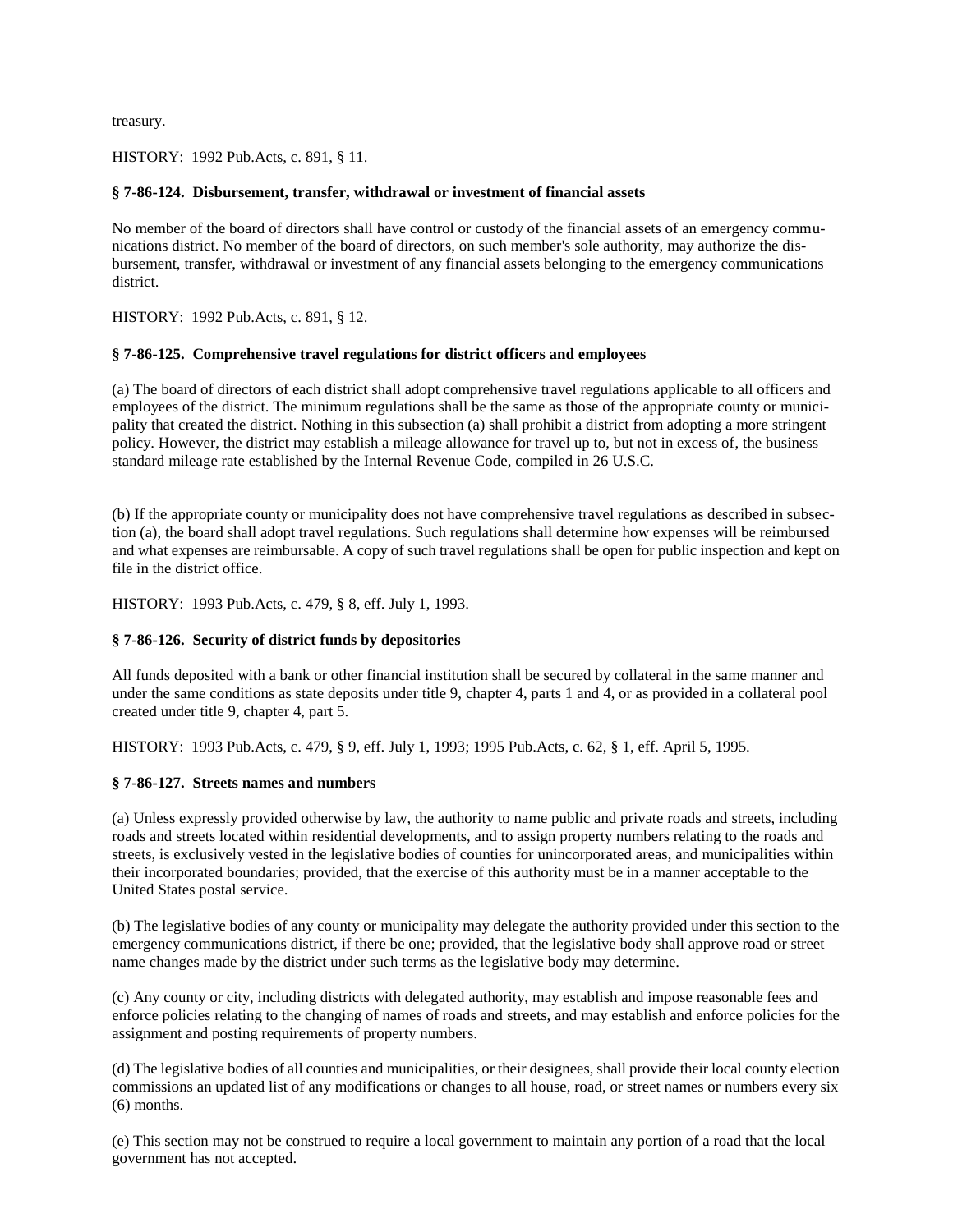treasury.

HISTORY: 1992 Pub.Acts, c. 891, § 11.

# <span id="page-13-0"></span>**§ 7-86-124. Disbursement, transfer, withdrawal or investment of financial assets**

No member of the board of directors shall have control or custody of the financial assets of an emergency communications district. No member of the board of directors, on such member's sole authority, may authorize the disbursement, transfer, withdrawal or investment of any financial assets belonging to the emergency communications district.

HISTORY: 1992 Pub.Acts, c. 891, § 12.

## <span id="page-13-1"></span>**§ 7-86-125. Comprehensive travel regulations for district officers and employees**

(a) The board of directors of each district shall adopt comprehensive travel regulations applicable to all officers and employees of the district. The minimum regulations shall be the same as those of the appropriate county or municipality that created the district. Nothing in this subsection (a) shall prohibit a district from adopting a more stringent policy. However, the district may establish a mileage allowance for travel up to, but not in excess of, the business standard mileage rate established by the Internal Revenue Code, compiled in 26 U.S.C.

(b) If the appropriate county or municipality does not have comprehensive travel regulations as described in subsection (a), the board shall adopt travel regulations. Such regulations shall determine how expenses will be reimbursed and what expenses are reimbursable. A copy of such travel regulations shall be open for public inspection and kept on file in the district office.

HISTORY: 1993 Pub.Acts, c. 479, § 8, eff. July 1, 1993.

# <span id="page-13-2"></span>**§ 7-86-126. Security of district funds by depositories**

All funds deposited with a bank or other financial institution shall be secured by collateral in the same manner and under the same conditions as state deposits under title 9, chapter 4, parts 1 and 4, or as provided in a collateral pool created under title 9, chapter 4, part 5.

HISTORY: 1993 Pub.Acts, c. 479, § 9, eff. July 1, 1993; 1995 Pub.Acts, c. 62, § 1, eff. April 5, 1995.

# <span id="page-13-3"></span>**§ 7-86-127. Streets names and numbers**

(a) Unless expressly provided otherwise by law, the authority to name public and private roads and streets, including roads and streets located within residential developments, and to assign property numbers relating to the roads and streets, is exclusively vested in the legislative bodies of counties for unincorporated areas, and municipalities within their incorporated boundaries; provided, that the exercise of this authority must be in a manner acceptable to the United States postal service.

(b) The legislative bodies of any county or municipality may delegate the authority provided under this section to the emergency communications district, if there be one; provided, that the legislative body shall approve road or street name changes made by the district under such terms as the legislative body may determine.

(c) Any county or city, including districts with delegated authority, may establish and impose reasonable fees and enforce policies relating to the changing of names of roads and streets, and may establish and enforce policies for the assignment and posting requirements of property numbers.

(d) The legislative bodies of all counties and municipalities, or their designees, shall provide their local county election commissions an updated list of any modifications or changes to all house, road, or street names or numbers every six (6) months.

(e) This section may not be construed to require a local government to maintain any portion of a road that the local government has not accepted.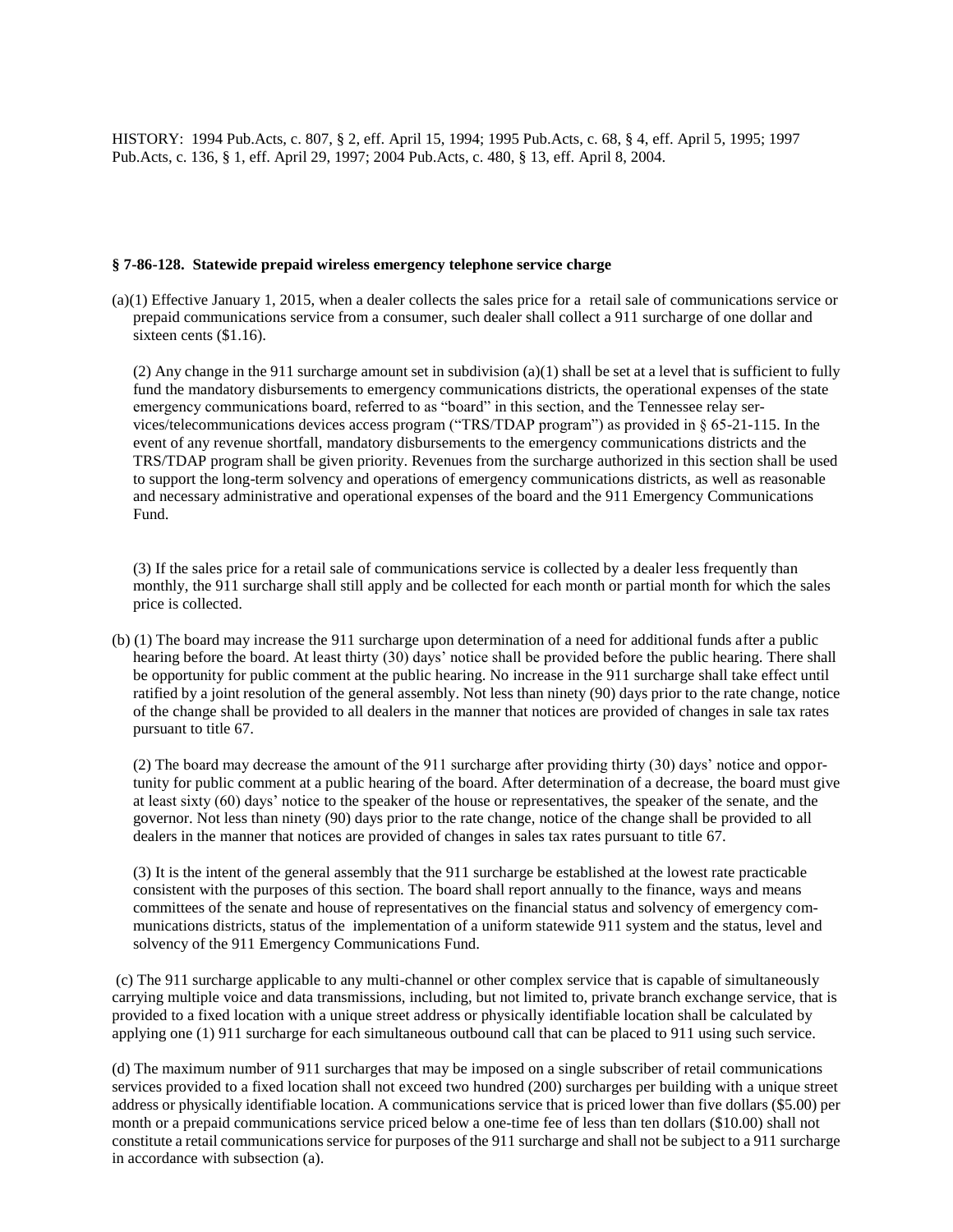<span id="page-14-0"></span>HISTORY: 1994 Pub.Acts, c. 807, § 2, eff. April 15, 1994; 1995 Pub.Acts, c. 68, § 4, eff. April 5, 1995; 1997 Pub.Acts, c. 136, § 1, eff. April 29, 1997; 2004 Pub.Acts, c. 480, § 13, eff. April 8, 2004.

### **§ 7-86-128. Statewide prepaid wireless emergency telephone service charge**

(a)(1) Effective January 1, 2015, when a dealer collects the sales price for a retail sale of communications service or prepaid communications service from a consumer, such dealer shall collect a 911 surcharge of one dollar and sixteen cents (\$1.16).

(2) Any change in the 911 surcharge amount set in subdivision (a)(1) shall be set at a level that is sufficient to fully fund the mandatory disbursements to emergency communications districts, the operational expenses of the state emergency communications board, referred to as "board" in this section, and the Tennessee relay services/telecommunications devices access program ("TRS/TDAP program") as provided in § 65-21-115. In the event of any revenue shortfall, mandatory disbursements to the emergency communications districts and the TRS/TDAP program shall be given priority. Revenues from the surcharge authorized in this section shall be used to support the long-term solvency and operations of emergency communications districts, as well as reasonable and necessary administrative and operational expenses of the board and the 911 Emergency Communications Fund.

(3) If the sales price for a retail sale of communications service is collected by a dealer less frequently than monthly, the 911 surcharge shall still apply and be collected for each month or partial month for which the sales price is collected.

(b) (1) The board may increase the 911 surcharge upon determination of a need for additional funds after a public hearing before the board. At least thirty (30) days' notice shall be provided before the public hearing. There shall be opportunity for public comment at the public hearing. No increase in the 911 surcharge shall take effect until ratified by a joint resolution of the general assembly. Not less than ninety (90) days prior to the rate change, notice of the change shall be provided to all dealers in the manner that notices are provided of changes in sale tax rates pursuant to title 67.

(2) The board may decrease the amount of the 911 surcharge after providing thirty (30) days' notice and opportunity for public comment at a public hearing of the board. After determination of a decrease, the board must give at least sixty (60) days' notice to the speaker of the house or representatives, the speaker of the senate, and the governor. Not less than ninety (90) days prior to the rate change, notice of the change shall be provided to all dealers in the manner that notices are provided of changes in sales tax rates pursuant to title 67.

(3) It is the intent of the general assembly that the 911 surcharge be established at the lowest rate practicable consistent with the purposes of this section. The board shall report annually to the finance, ways and means committees of the senate and house of representatives on the financial status and solvency of emergency communications districts, status of the implementation of a uniform statewide 911 system and the status, level and solvency of the 911 Emergency Communications Fund.

(c) The 911 surcharge applicable to any multi-channel or other complex service that is capable of simultaneously carrying multiple voice and data transmissions, including, but not limited to, private branch exchange service, that is provided to a fixed location with a unique street address or physically identifiable location shall be calculated by applying one (1) 911 surcharge for each simultaneous outbound call that can be placed to 911 using such service.

(d) The maximum number of 911 surcharges that may be imposed on a single subscriber of retail communications services provided to a fixed location shall not exceed two hundred (200) surcharges per building with a unique street address or physically identifiable location. A communications service that is priced lower than five dollars (\$5.00) per month or a prepaid communications service priced below a one-time fee of less than ten dollars (\$10.00) shall not constitute a retail communications service for purposes of the 911 surcharge and shall not be subject to a 911 surcharge in accordance with subsection (a).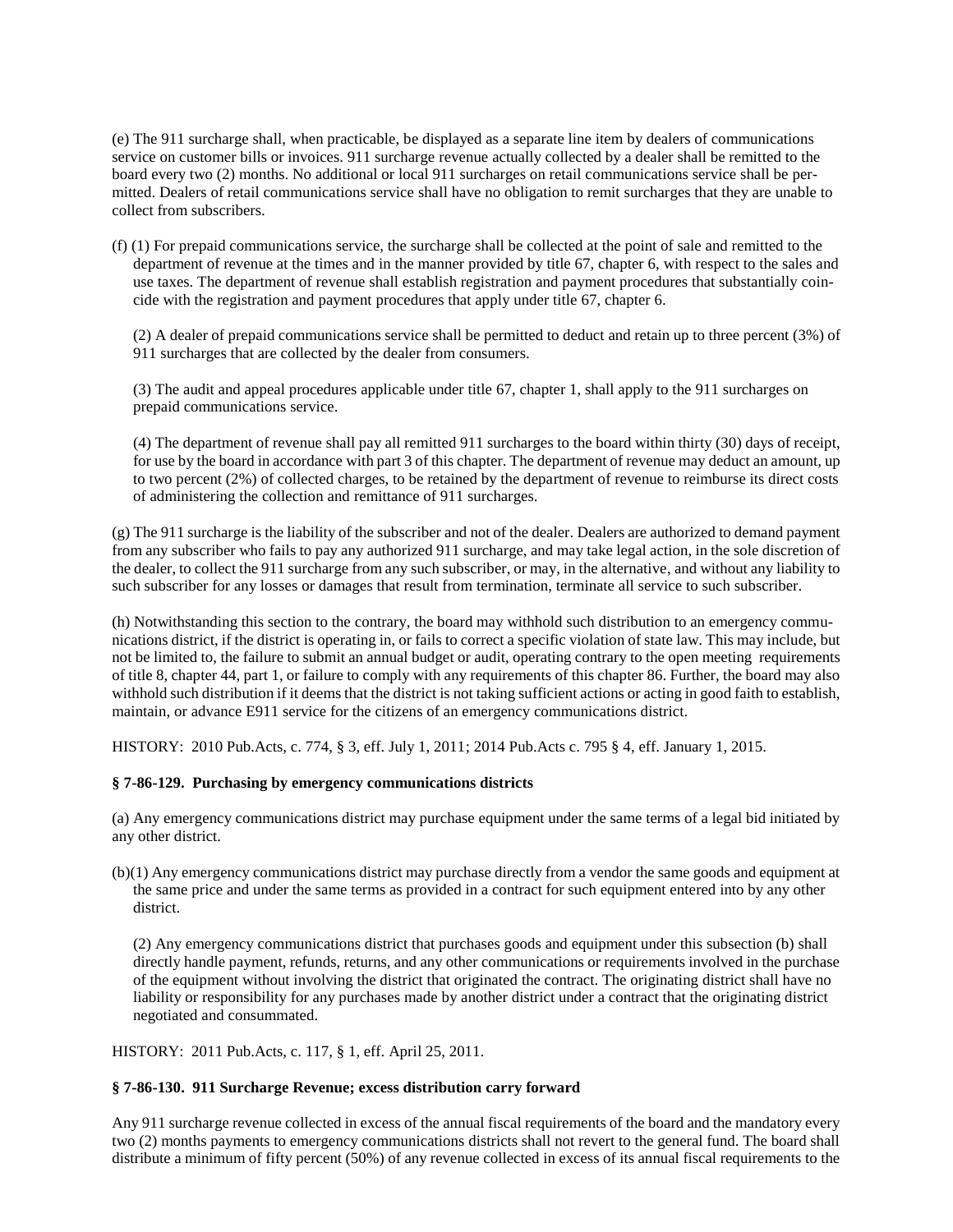(e) The 911 surcharge shall, when practicable, be displayed as a separate line item by dealers of communications service on customer bills or invoices. 911 surcharge revenue actually collected by a dealer shall be remitted to the board every two (2) months. No additional or local 911 surcharges on retail communications service shall be permitted. Dealers of retail communications service shall have no obligation to remit surcharges that they are unable to collect from subscribers.

(f) (1) For prepaid communications service, the surcharge shall be collected at the point of sale and remitted to the department of revenue at the times and in the manner provided by title 67, chapter 6, with respect to the sales and use taxes. The department of revenue shall establish registration and payment procedures that substantially coincide with the registration and payment procedures that apply under title 67, chapter 6.

(2) A dealer of prepaid communications service shall be permitted to deduct and retain up to three percent (3%) of 911 surcharges that are collected by the dealer from consumers.

(3) The audit and appeal procedures applicable under title 67, chapter 1, shall apply to the 911 surcharges on prepaid communications service.

(4) The department of revenue shall pay all remitted 911 surcharges to the board within thirty (30) days of receipt, for use by the board in accordance with part 3 of this chapter. The department of revenue may deduct an amount, up to two percent (2%) of collected charges, to be retained by the department of revenue to reimburse its direct costs of administering the collection and remittance of 911 surcharges.

(g) The 911 surcharge is the liability of the subscriber and not of the dealer. Dealers are authorized to demand payment from any subscriber who fails to pay any authorized 911 surcharge, and may take legal action, in the sole discretion of the dealer, to collect the 911 surcharge from any such subscriber, or may, in the alternative, and without any liability to such subscriber for any losses or damages that result from termination, terminate all service to such subscriber.

(h) Notwithstanding this section to the contrary, the board may withhold such distribution to an emergency communications district, if the district is operating in, or fails to correct a specific violation of state law. This may include, but not be limited to, the failure to submit an annual budget or audit, operating contrary to the open meeting requirements of title 8, chapter 44, part 1, or failure to comply with any requirements of this chapter 86. Further, the board may also withhold such distribution if it deems that the district is not taking sufficient actions or acting in good faith to establish, maintain, or advance E911 service for the citizens of an emergency communications district.

HISTORY: 2010 Pub.Acts, c. 774, § 3, eff. July 1, 2011; 2014 Pub.Acts c. 795 § 4, eff. January 1, 2015.

# <span id="page-15-0"></span>**§ 7-86-129. Purchasing by emergency communications districts**

(a) Any emergency communications district may purchase equipment under the same terms of a legal bid initiated by any other district.

(b)(1) Any emergency communications district may purchase directly from a vendor the same goods and equipment at the same price and under the same terms as provided in a contract for such equipment entered into by any other district.

(2) Any emergency communications district that purchases goods and equipment under this subsection (b) shall directly handle payment, refunds, returns, and any other communications or requirements involved in the purchase of the equipment without involving the district that originated the contract. The originating district shall have no liability or responsibility for any purchases made by another district under a contract that the originating district negotiated and consummated.

HISTORY: 2011 Pub.Acts, c. 117, § 1, eff. April 25, 2011.

### <span id="page-15-1"></span>**§ 7-86-130. 911 Surcharge Revenue; excess distribution carry forward**

Any 911 surcharge revenue collected in excess of the annual fiscal requirements of the board and the mandatory every two (2) months payments to emergency communications districts shall not revert to the general fund. The board shall distribute a minimum of fifty percent (50%) of any revenue collected in excess of its annual fiscal requirements to the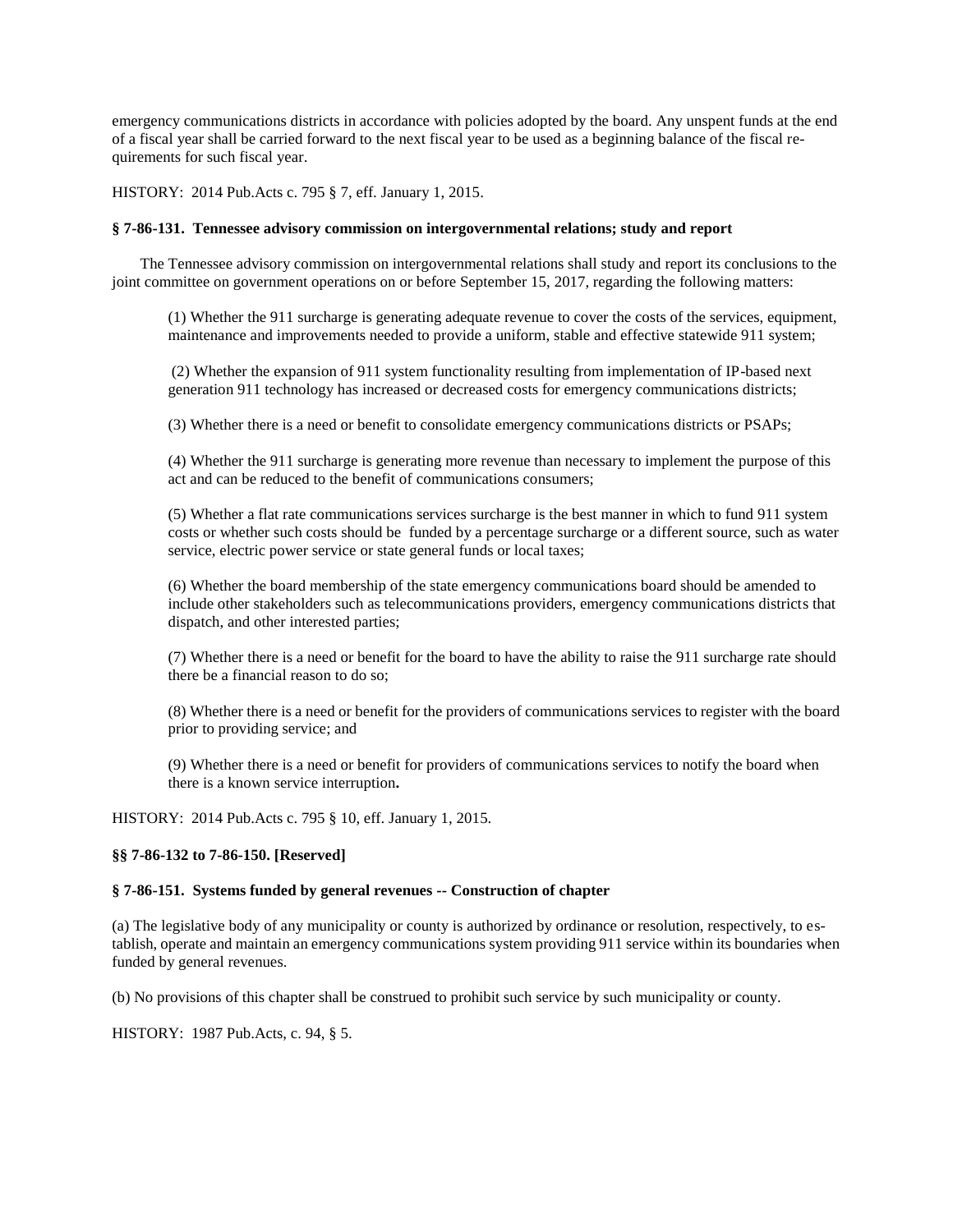emergency communications districts in accordance with policies adopted by the board. Any unspent funds at the end of a fiscal year shall be carried forward to the next fiscal year to be used as a beginning balance of the fiscal requirements for such fiscal year.

HISTORY: 2014 Pub.Acts c. 795 § 7, eff. January 1, 2015.

### <span id="page-16-0"></span>**§ 7-86-131. Tennessee advisory commission on intergovernmental relations; study and report**

The Tennessee advisory commission on intergovernmental relations shall study and report its conclusions to the joint committee on government operations on or before September 15, 2017, regarding the following matters:

(1) Whether the 911 surcharge is generating adequate revenue to cover the costs of the services, equipment, maintenance and improvements needed to provide a uniform, stable and effective statewide 911 system;

(2) Whether the expansion of 911 system functionality resulting from implementation of IP-based next generation 911 technology has increased or decreased costs for emergency communications districts;

(3) Whether there is a need or benefit to consolidate emergency communications districts or PSAPs;

(4) Whether the 911 surcharge is generating more revenue than necessary to implement the purpose of this act and can be reduced to the benefit of communications consumers;

(5) Whether a flat rate communications services surcharge is the best manner in which to fund 911 system costs or whether such costs should be funded by a percentage surcharge or a different source, such as water service, electric power service or state general funds or local taxes;

(6) Whether the board membership of the state emergency communications board should be amended to include other stakeholders such as telecommunications providers, emergency communications districts that dispatch, and other interested parties;

(7) Whether there is a need or benefit for the board to have the ability to raise the 911 surcharge rate should there be a financial reason to do so;

(8) Whether there is a need or benefit for the providers of communications services to register with the board prior to providing service; and

(9) Whether there is a need or benefit for providers of communications services to notify the board when there is a known service interruption**.** 

HISTORY: 2014 Pub.Acts c. 795 § 10, eff. January 1, 2015.

## <span id="page-16-1"></span>**§§ 7-86-132 to 7-86-150. [Reserved]**

### <span id="page-16-2"></span>**§ 7-86-151. Systems funded by general revenues -- Construction of chapter**

(a) The legislative body of any municipality or county is authorized by ordinance or resolution, respectively, to establish, operate and maintain an emergency communications system providing 911 service within its boundaries when funded by general revenues.

(b) No provisions of this chapter shall be construed to prohibit such service by such municipality or county.

HISTORY: 1987 Pub.Acts, c. 94, § 5.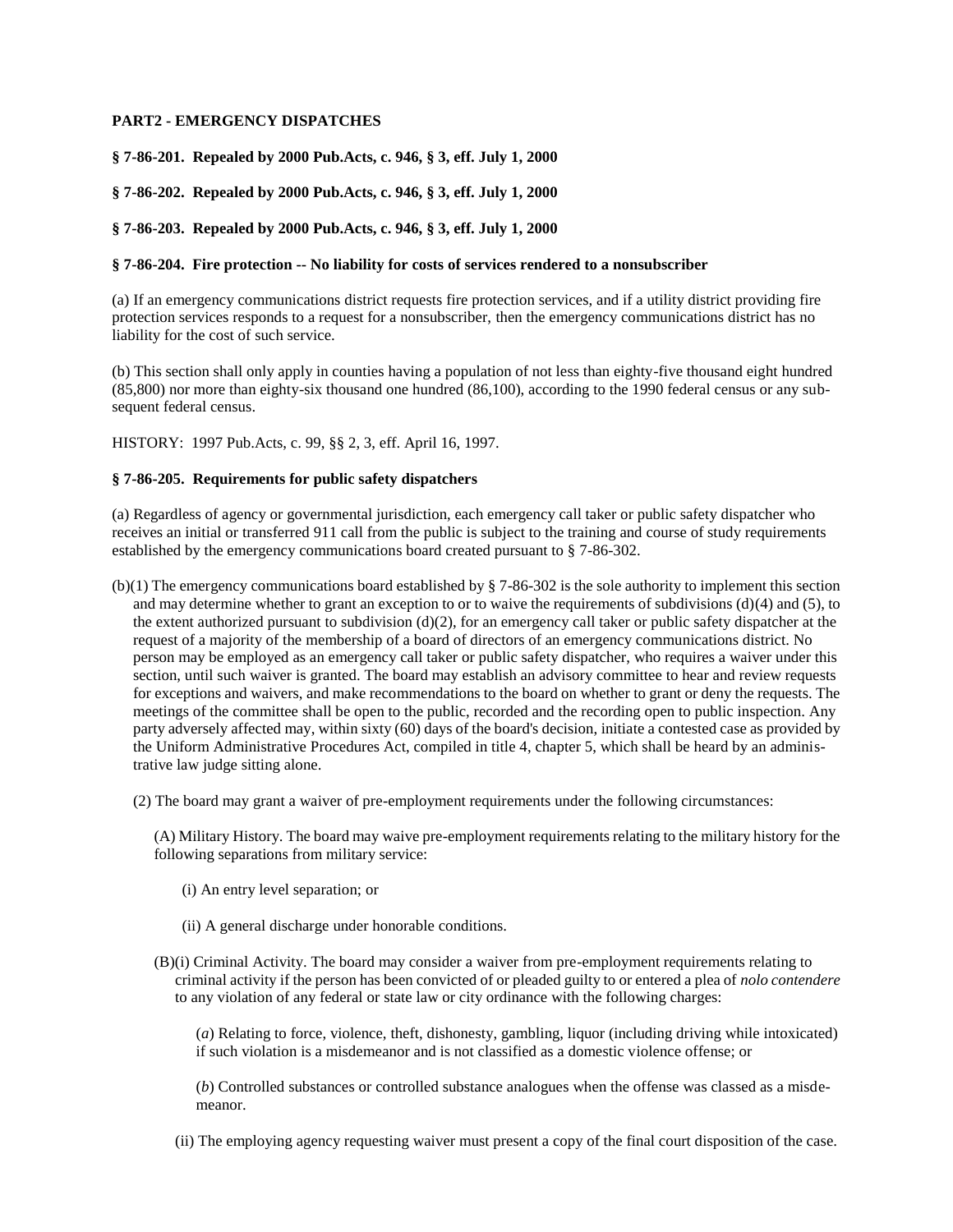# <span id="page-17-0"></span>**PART2 - EMERGENCY DISPATCHES**

<span id="page-17-1"></span>**§ 7-86-201. Repealed by 2000 Pub.Acts, c. 946, § 3, eff. July 1, 2000**

<span id="page-17-2"></span>**§ 7-86-202. Repealed by 2000 Pub.Acts, c. 946, § 3, eff. July 1, 2000**

<span id="page-17-3"></span>**§ 7-86-203. Repealed by 2000 Pub.Acts, c. 946, § 3, eff. July 1, 2000**

### <span id="page-17-4"></span>**§ 7-86-204. Fire protection -- No liability for costs of services rendered to a nonsubscriber**

(a) If an emergency communications district requests fire protection services, and if a utility district providing fire protection services responds to a request for a nonsubscriber, then the emergency communications district has no liability for the cost of such service.

(b) This section shall only apply in counties having a population of not less than eighty-five thousand eight hundred (85,800) nor more than eighty-six thousand one hundred (86,100), according to the 1990 federal census or any subsequent federal census.

HISTORY: 1997 Pub.Acts, c. 99, §§ 2, 3, eff. April 16, 1997.

# <span id="page-17-5"></span>**§ 7-86-205. Requirements for public safety dispatchers**

(a) Regardless of agency or governmental jurisdiction, each emergency call taker or public safety dispatcher who receives an initial or transferred 911 call from the public is subject to the training and course of study requirements established by the emergency communications board created pursuant to § 7-86-302.

(b)(1) The emergency communications board established by § 7-86-302 is the sole authority to implement this section and may determine whether to grant an exception to or to waive the requirements of subdivisions  $(d)(4)$  and  $(5)$ , to the extent authorized pursuant to subdivision  $(d)(2)$ , for an emergency call taker or public safety dispatcher at the request of a majority of the membership of a board of directors of an emergency communications district. No person may be employed as an emergency call taker or public safety dispatcher, who requires a waiver under this section, until such waiver is granted. The board may establish an advisory committee to hear and review requests for exceptions and waivers, and make recommendations to the board on whether to grant or deny the requests. The meetings of the committee shall be open to the public, recorded and the recording open to public inspection. Any party adversely affected may, within sixty (60) days of the board's decision, initiate a contested case as provided by the Uniform Administrative Procedures Act, compiled in title 4, chapter 5, which shall be heard by an administrative law judge sitting alone.

(2) The board may grant a waiver of pre-employment requirements under the following circumstances:

(A) Military History. The board may waive pre-employment requirements relating to the military history for the following separations from military service:

(i) An entry level separation; or

(ii) A general discharge under honorable conditions.

(B)(i) Criminal Activity. The board may consider a waiver from pre-employment requirements relating to criminal activity if the person has been convicted of or pleaded guilty to or entered a plea of *nolo contendere* to any violation of any federal or state law or city ordinance with the following charges:

(*a*) Relating to force, violence, theft, dishonesty, gambling, liquor (including driving while intoxicated) if such violation is a misdemeanor and is not classified as a domestic violence offense; or

(*b*) Controlled substances or controlled substance analogues when the offense was classed as a misdemeanor.

(ii) The employing agency requesting waiver must present a copy of the final court disposition of the case.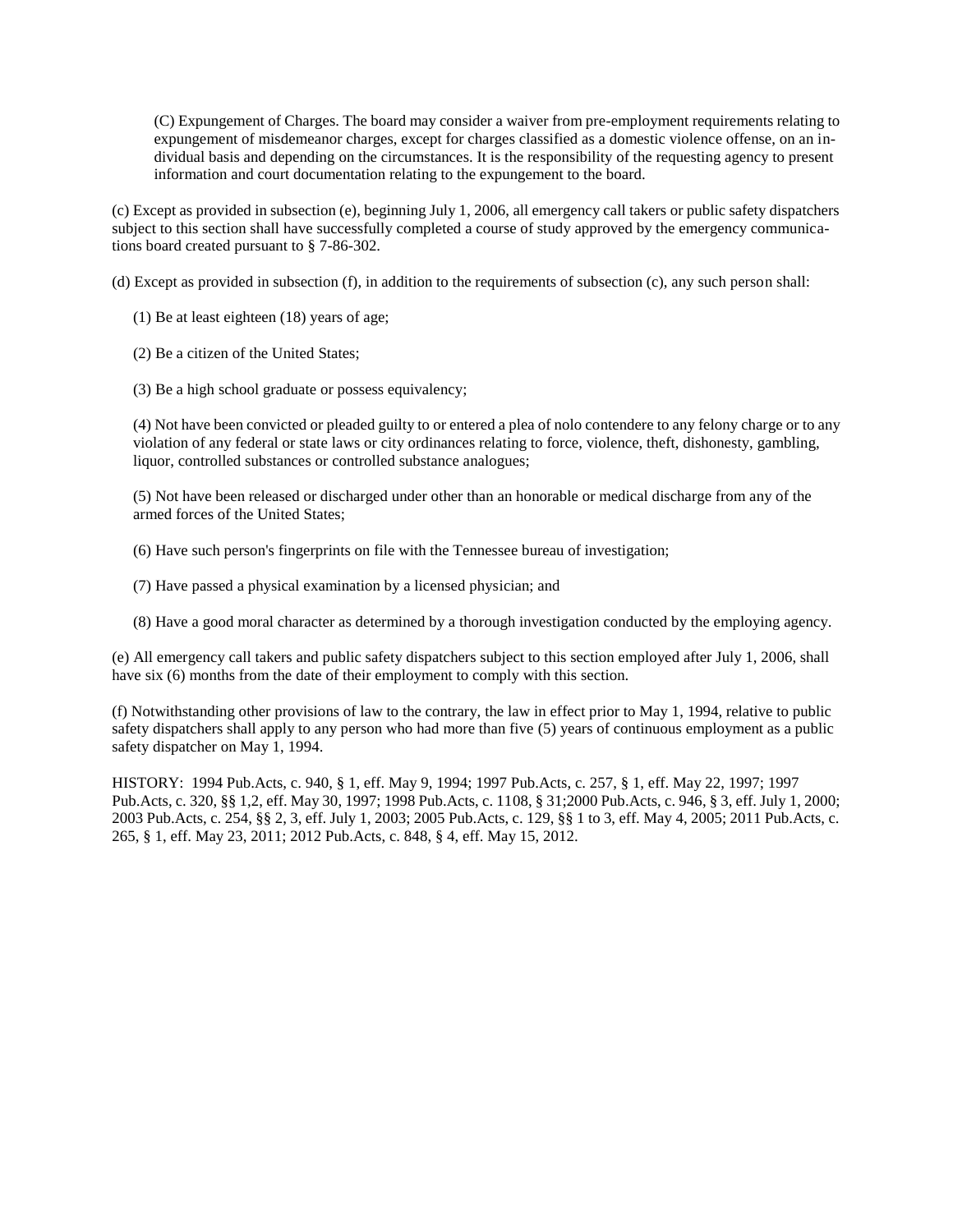(C) Expungement of Charges. The board may consider a waiver from pre-employment requirements relating to expungement of misdemeanor charges, except for charges classified as a domestic violence offense, on an individual basis and depending on the circumstances. It is the responsibility of the requesting agency to present information and court documentation relating to the expungement to the board.

(c) Except as provided in subsection (e), beginning July 1, 2006, all emergency call takers or public safety dispatchers subject to this section shall have successfully completed a course of study approved by the emergency communications board created pursuant to § 7-86-302.

(d) Except as provided in subsection (f), in addition to the requirements of subsection (c), any such person shall:

(1) Be at least eighteen (18) years of age;

(2) Be a citizen of the United States;

(3) Be a high school graduate or possess equivalency;

(4) Not have been convicted or pleaded guilty to or entered a plea of nolo contendere to any felony charge or to any violation of any federal or state laws or city ordinances relating to force, violence, theft, dishonesty, gambling, liquor, controlled substances or controlled substance analogues;

(5) Not have been released or discharged under other than an honorable or medical discharge from any of the armed forces of the United States;

(6) Have such person's fingerprints on file with the Tennessee bureau of investigation;

- (7) Have passed a physical examination by a licensed physician; and
- (8) Have a good moral character as determined by a thorough investigation conducted by the employing agency.

(e) All emergency call takers and public safety dispatchers subject to this section employed after July 1, 2006, shall have six (6) months from the date of their employment to comply with this section.

(f) Notwithstanding other provisions of law to the contrary, the law in effect prior to May 1, 1994, relative to public safety dispatchers shall apply to any person who had more than five (5) years of continuous employment as a public safety dispatcher on May 1, 1994.

HISTORY: 1994 Pub.Acts, c. 940, § 1, eff. May 9, 1994; 1997 Pub.Acts, c. 257, § 1, eff. May 22, 1997; 1997 Pub.Acts, c. 320, §§ 1,2, eff. May 30, 1997; 1998 Pub.Acts, c. 1108, § 31;2000 Pub.Acts, c. 946, § 3, eff. July 1, 2000; 2003 Pub.Acts, c. 254, §§ 2, 3, eff. July 1, 2003; 2005 Pub.Acts, c. 129, §§ 1 to 3, eff. May 4, 2005; 2011 Pub.Acts, c. 265, § 1, eff. May 23, 2011; 2012 Pub.Acts, c. 848, § 4, eff. May 15, 2012.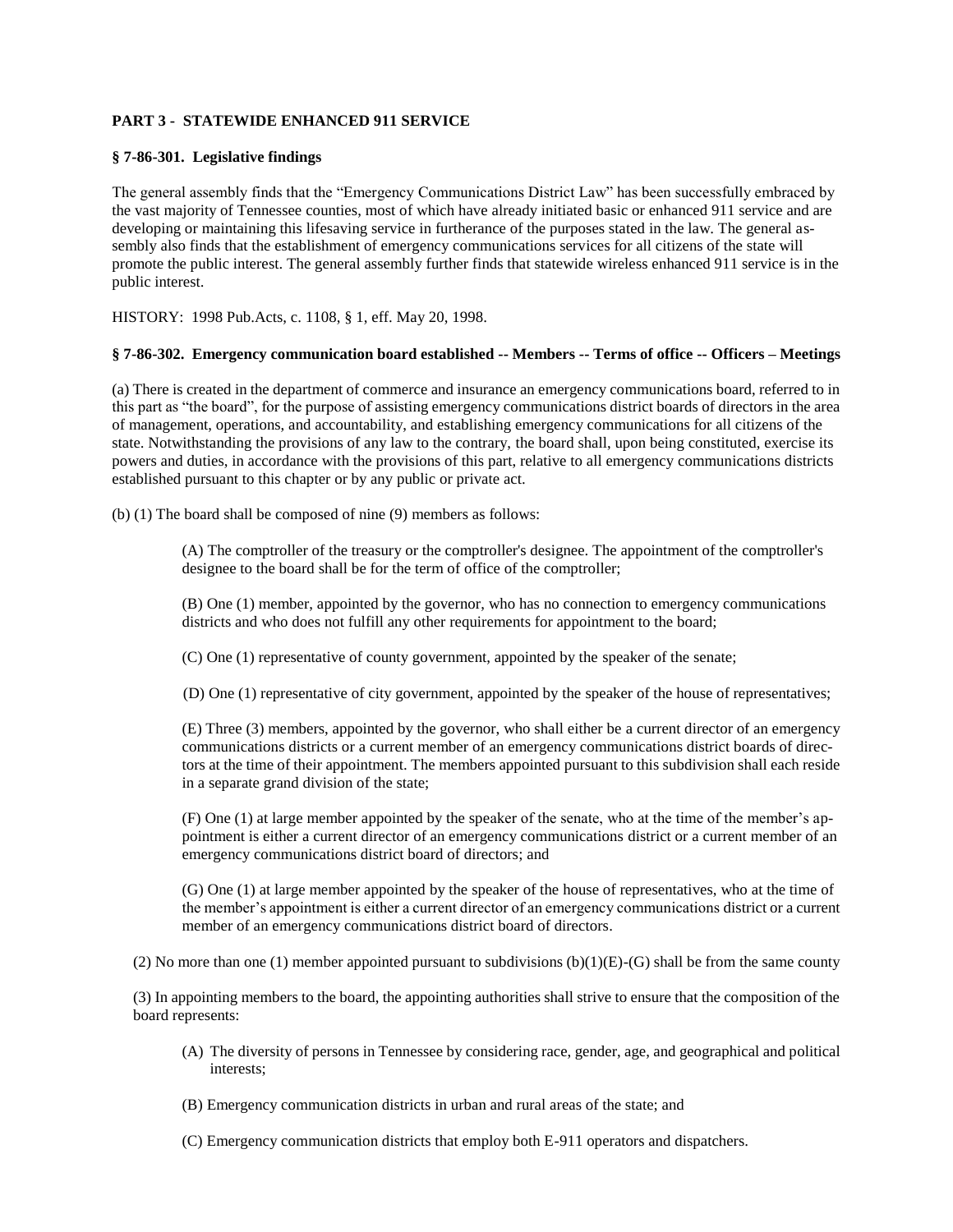# <span id="page-19-0"></span>**PART 3 - STATEWIDE ENHANCED 911 SERVICE**

### <span id="page-19-1"></span>**§ 7-86-301. Legislative findings**

The general assembly finds that the "Emergency Communications District Law" has been successfully embraced by the vast majority of Tennessee counties, most of which have already initiated basic or enhanced 911 service and are developing or maintaining this lifesaving service in furtherance of the purposes stated in the law. The general assembly also finds that the establishment of emergency communications services for all citizens of the state will promote the public interest. The general assembly further finds that statewide wireless enhanced 911 service is in the public interest.

HISTORY: 1998 Pub.Acts, c. 1108, § 1, eff. May 20, 1998.

## <span id="page-19-2"></span>**§ 7-86-302. Emergency communication board established -- Members -- Terms of office -- Officers – Meetings**

(a) There is created in the department of commerce and insurance an emergency communications board, referred to in this part as "the board", for the purpose of assisting emergency communications district boards of directors in the area of management, operations, and accountability, and establishing emergency communications for all citizens of the state. Notwithstanding the provisions of any law to the contrary, the board shall, upon being constituted, exercise its powers and duties, in accordance with the provisions of this part, relative to all emergency communications districts established pursuant to this chapter or by any public or private act.

(b) (1) The board shall be composed of nine (9) members as follows:

(A) The comptroller of the treasury or the comptroller's designee. The appointment of the comptroller's designee to the board shall be for the term of office of the comptroller;

(B) One (1) member, appointed by the governor, who has no connection to emergency communications districts and who does not fulfill any other requirements for appointment to the board;

(C) One (1) representative of county government, appointed by the speaker of the senate;

(D) One (1) representative of city government, appointed by the speaker of the house of representatives;

(E) Three (3) members, appointed by the governor, who shall either be a current director of an emergency communications districts or a current member of an emergency communications district boards of directors at the time of their appointment. The members appointed pursuant to this subdivision shall each reside in a separate grand division of the state;

(F) One (1) at large member appointed by the speaker of the senate, who at the time of the member's appointment is either a current director of an emergency communications district or a current member of an emergency communications district board of directors; and

(G) One (1) at large member appointed by the speaker of the house of representatives, who at the time of the member's appointment is either a current director of an emergency communications district or a current member of an emergency communications district board of directors.

(2) No more than one (1) member appointed pursuant to subdivisions  $(b)(1)(E)-(G)$  shall be from the same county

(3) In appointing members to the board, the appointing authorities shall strive to ensure that the composition of the board represents:

- (A) The diversity of persons in Tennessee by considering race, gender, age, and geographical and political interests;
- (B) Emergency communication districts in urban and rural areas of the state; and
- (C) Emergency communication districts that employ both E-911 operators and dispatchers.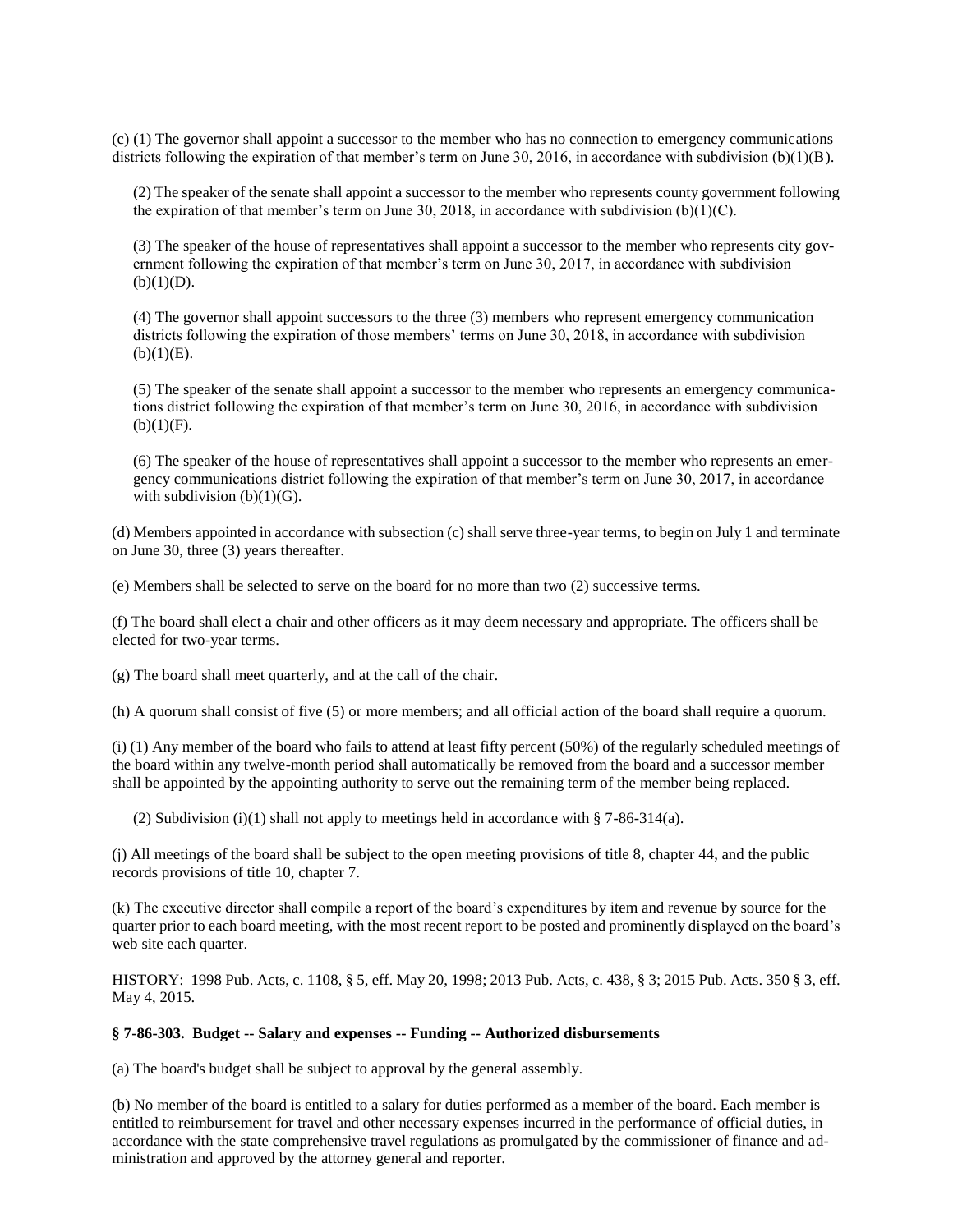(c) (1) The governor shall appoint a successor to the member who has no connection to emergency communications districts following the expiration of that member's term on June 30, 2016, in accordance with subdivision  $(b)(1)(B)$ .

(2) The speaker of the senate shall appoint a successor to the member who represents county government following the expiration of that member's term on June 30, 2018, in accordance with subdivision (b)(1)(C).

(3) The speaker of the house of representatives shall appoint a successor to the member who represents city government following the expiration of that member's term on June 30, 2017, in accordance with subdivision  $(b)(1)(D)$ .

(4) The governor shall appoint successors to the three (3) members who represent emergency communication districts following the expiration of those members' terms on June 30, 2018, in accordance with subdivision  $(b)(1)(E)$ .

(5) The speaker of the senate shall appoint a successor to the member who represents an emergency communications district following the expiration of that member's term on June 30, 2016, in accordance with subdivision  $(b)(1)(F)$ .

(6) The speaker of the house of representatives shall appoint a successor to the member who represents an emergency communications district following the expiration of that member's term on June 30, 2017, in accordance with subdivision  $(b)(1)(G)$ .

(d) Members appointed in accordance with subsection (c) shall serve three-year terms, to begin on July 1 and terminate on June 30, three (3) years thereafter.

(e) Members shall be selected to serve on the board for no more than two (2) successive terms.

(f) The board shall elect a chair and other officers as it may deem necessary and appropriate. The officers shall be elected for two-year terms.

(g) The board shall meet quarterly, and at the call of the chair.

(h) A quorum shall consist of five (5) or more members; and all official action of the board shall require a quorum.

(i) (1) Any member of the board who fails to attend at least fifty percent (50%) of the regularly scheduled meetings of the board within any twelve-month period shall automatically be removed from the board and a successor member shall be appointed by the appointing authority to serve out the remaining term of the member being replaced.

(2) Subdivision (i)(1) shall not apply to meetings held in accordance with § 7-86-314(a).

(j) All meetings of the board shall be subject to the open meeting provisions of title 8, chapter 44, and the public records provisions of title 10, chapter 7.

(k) The executive director shall compile a report of the board's expenditures by item and revenue by source for the quarter prior to each board meeting, with the most recent report to be posted and prominently displayed on the board's web site each quarter.

HISTORY: 1998 Pub. Acts, c. 1108, § 5, eff. May 20, 1998; 2013 Pub. Acts, c. 438, § 3; 2015 Pub. Acts. 350 § 3, eff. May 4, 2015.

#### <span id="page-20-0"></span>**§ 7-86-303. Budget -- Salary and expenses -- Funding -- Authorized disbursements**

(a) The board's budget shall be subject to approval by the general assembly.

(b) No member of the board is entitled to a salary for duties performed as a member of the board. Each member is entitled to reimbursement for travel and other necessary expenses incurred in the performance of official duties, in accordance with the state comprehensive travel regulations as promulgated by the commissioner of finance and administration and approved by the attorney general and reporter.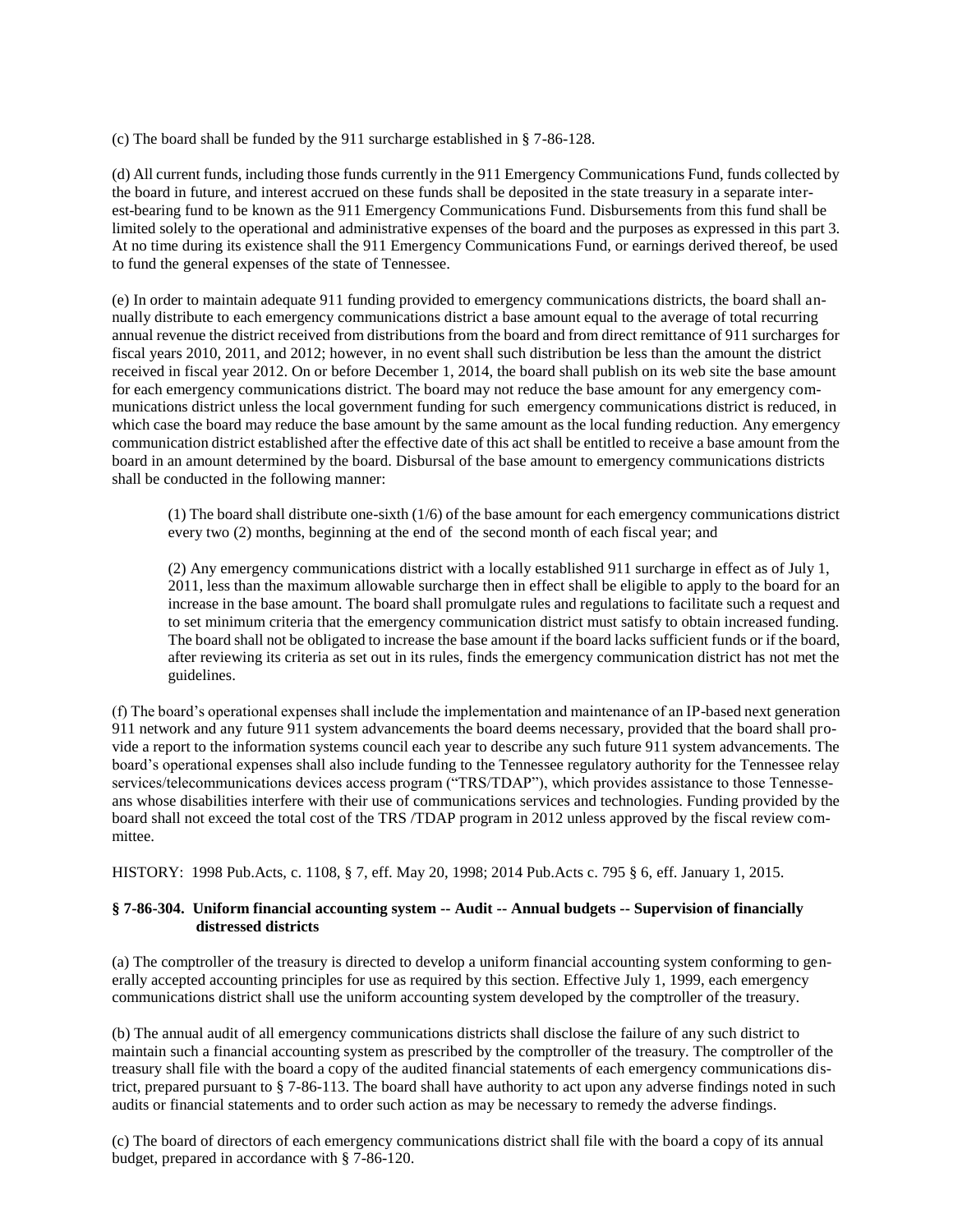(c) The board shall be funded by the 911 surcharge established in § 7-86-128.

(d) All current funds, including those funds currently in the 911 Emergency Communications Fund, funds collected by the board in future, and interest accrued on these funds shall be deposited in the state treasury in a separate interest-bearing fund to be known as the 911 Emergency Communications Fund. Disbursements from this fund shall be limited solely to the operational and administrative expenses of the board and the purposes as expressed in this part 3. At no time during its existence shall the 911 Emergency Communications Fund, or earnings derived thereof, be used to fund the general expenses of the state of Tennessee.

(e) In order to maintain adequate 911 funding provided to emergency communications districts, the board shall annually distribute to each emergency communications district a base amount equal to the average of total recurring annual revenue the district received from distributions from the board and from direct remittance of 911 surcharges for fiscal years 2010, 2011, and 2012; however, in no event shall such distribution be less than the amount the district received in fiscal year 2012. On or before December 1, 2014, the board shall publish on its web site the base amount for each emergency communications district. The board may not reduce the base amount for any emergency communications district unless the local government funding for such emergency communications district is reduced, in which case the board may reduce the base amount by the same amount as the local funding reduction. Any emergency communication district established after the effective date of this act shall be entitled to receive a base amount from the board in an amount determined by the board. Disbursal of the base amount to emergency communications districts shall be conducted in the following manner:

(1) The board shall distribute one-sixth (1/6) of the base amount for each emergency communications district every two (2) months, beginning at the end of the second month of each fiscal year; and

(2) Any emergency communications district with a locally established 911 surcharge in effect as of July 1, 2011, less than the maximum allowable surcharge then in effect shall be eligible to apply to the board for an increase in the base amount. The board shall promulgate rules and regulations to facilitate such a request and to set minimum criteria that the emergency communication district must satisfy to obtain increased funding. The board shall not be obligated to increase the base amount if the board lacks sufficient funds or if the board, after reviewing its criteria as set out in its rules, finds the emergency communication district has not met the guidelines.

(f) The board's operational expenses shall include the implementation and maintenance of an IP-based next generation 911 network and any future 911 system advancements the board deems necessary, provided that the board shall provide a report to the information systems council each year to describe any such future 911 system advancements. The board's operational expenses shall also include funding to the Tennessee regulatory authority for the Tennessee relay services/telecommunications devices access program ("TRS/TDAP"), which provides assistance to those Tennesseans whose disabilities interfere with their use of communications services and technologies. Funding provided by the board shall not exceed the total cost of the TRS /TDAP program in 2012 unless approved by the fiscal review committee.

HISTORY: 1998 Pub.Acts, c. 1108, § 7, eff. May 20, 1998; 2014 Pub.Acts c. 795 § 6, eff. January 1, 2015.

## <span id="page-21-0"></span>**§ 7-86-304. Uniform financial accounting system -- Audit -- Annual budgets -- Supervision of financially distressed districts**

(a) The comptroller of the treasury is directed to develop a uniform financial accounting system conforming to generally accepted accounting principles for use as required by this section. Effective July 1, 1999, each emergency communications district shall use the uniform accounting system developed by the comptroller of the treasury.

(b) The annual audit of all emergency communications districts shall disclose the failure of any such district to maintain such a financial accounting system as prescribed by the comptroller of the treasury. The comptroller of the treasury shall file with the board a copy of the audited financial statements of each emergency communications district, prepared pursuant to § 7-86-113. The board shall have authority to act upon any adverse findings noted in such audits or financial statements and to order such action as may be necessary to remedy the adverse findings.

(c) The board of directors of each emergency communications district shall file with the board a copy of its annual budget, prepared in accordance with § 7-86-120.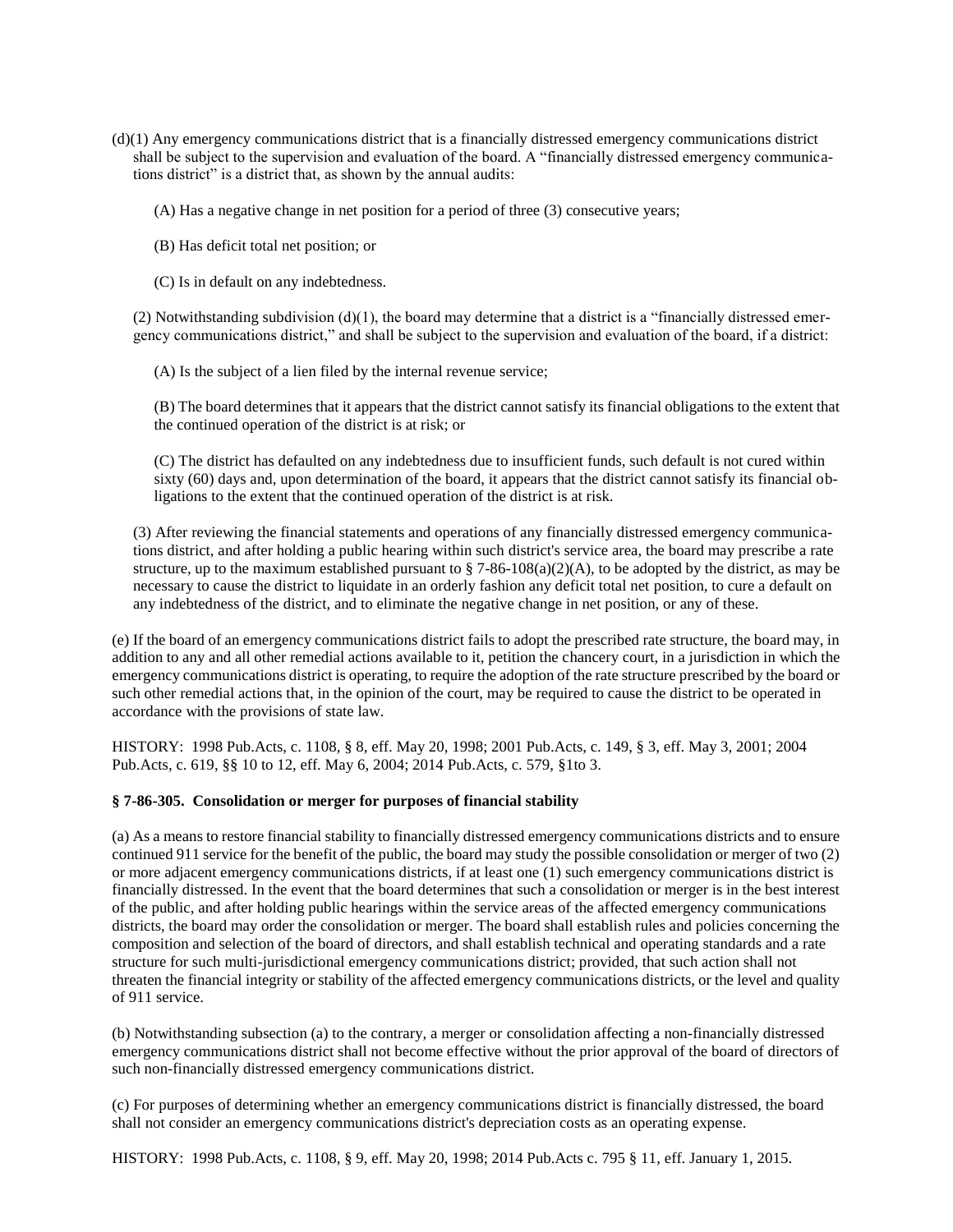- (d)(1) Any emergency communications district that is a financially distressed emergency communications district shall be subject to the supervision and evaluation of the board. A "financially distressed emergency communications district" is a district that, as shown by the annual audits:
	- (A) Has a negative change in net position for a period of three (3) consecutive years;
	- (B) Has deficit total net position; or
	- (C) Is in default on any indebtedness.

(2) Notwithstanding subdivision  $(d)(1)$ , the board may determine that a district is a "financially distressed emergency communications district," and shall be subject to the supervision and evaluation of the board, if a district:

(A) Is the subject of a lien filed by the internal revenue service;

(B) The board determines that it appears that the district cannot satisfy its financial obligations to the extent that the continued operation of the district is at risk; or

(C) The district has defaulted on any indebtedness due to insufficient funds, such default is not cured within sixty (60) days and, upon determination of the board, it appears that the district cannot satisfy its financial obligations to the extent that the continued operation of the district is at risk.

(3) After reviewing the financial statements and operations of any financially distressed emergency communications district, and after holding a public hearing within such district's service area, the board may prescribe a rate structure, up to the maximum established pursuant to § 7-86-108(a)(2)(A), to be adopted by the district, as may be necessary to cause the district to liquidate in an orderly fashion any deficit total net position, to cure a default on any indebtedness of the district, and to eliminate the negative change in net position, or any of these.

(e) If the board of an emergency communications district fails to adopt the prescribed rate structure, the board may, in addition to any and all other remedial actions available to it, petition the chancery court, in a jurisdiction in which the emergency communications district is operating, to require the adoption of the rate structure prescribed by the board or such other remedial actions that, in the opinion of the court, may be required to cause the district to be operated in accordance with the provisions of state law.

HISTORY: 1998 Pub.Acts, c. 1108, § 8, eff. May 20, 1998; 2001 Pub.Acts, c. 149, § 3, eff. May 3, 2001; 2004 Pub.Acts, c. 619, §§ 10 to 12, eff. May 6, 2004; 2014 Pub.Acts, c. 579, §1to 3.

#### <span id="page-22-0"></span>**§ 7-86-305. Consolidation or merger for purposes of financial stability**

(a) As a means to restore financial stability to financially distressed emergency communications districts and to ensure continued 911 service for the benefit of the public, the board may study the possible consolidation or merger of two (2) or more adjacent emergency communications districts, if at least one (1) such emergency communications district is financially distressed. In the event that the board determines that such a consolidation or merger is in the best interest of the public, and after holding public hearings within the service areas of the affected emergency communications districts, the board may order the consolidation or merger. The board shall establish rules and policies concerning the composition and selection of the board of directors, and shall establish technical and operating standards and a rate structure for such multi-jurisdictional emergency communications district; provided, that such action shall not threaten the financial integrity or stability of the affected emergency communications districts, or the level and quality of 911 service.

(b) Notwithstanding subsection (a) to the contrary, a merger or consolidation affecting a non-financially distressed emergency communications district shall not become effective without the prior approval of the board of directors of such non-financially distressed emergency communications district.

(c) For purposes of determining whether an emergency communications district is financially distressed, the board shall not consider an emergency communications district's depreciation costs as an operating expense.

HISTORY: 1998 Pub.Acts, c. 1108, § 9, eff. May 20, 1998; 2014 Pub.Acts c. 795 § 11, eff. January 1, 2015.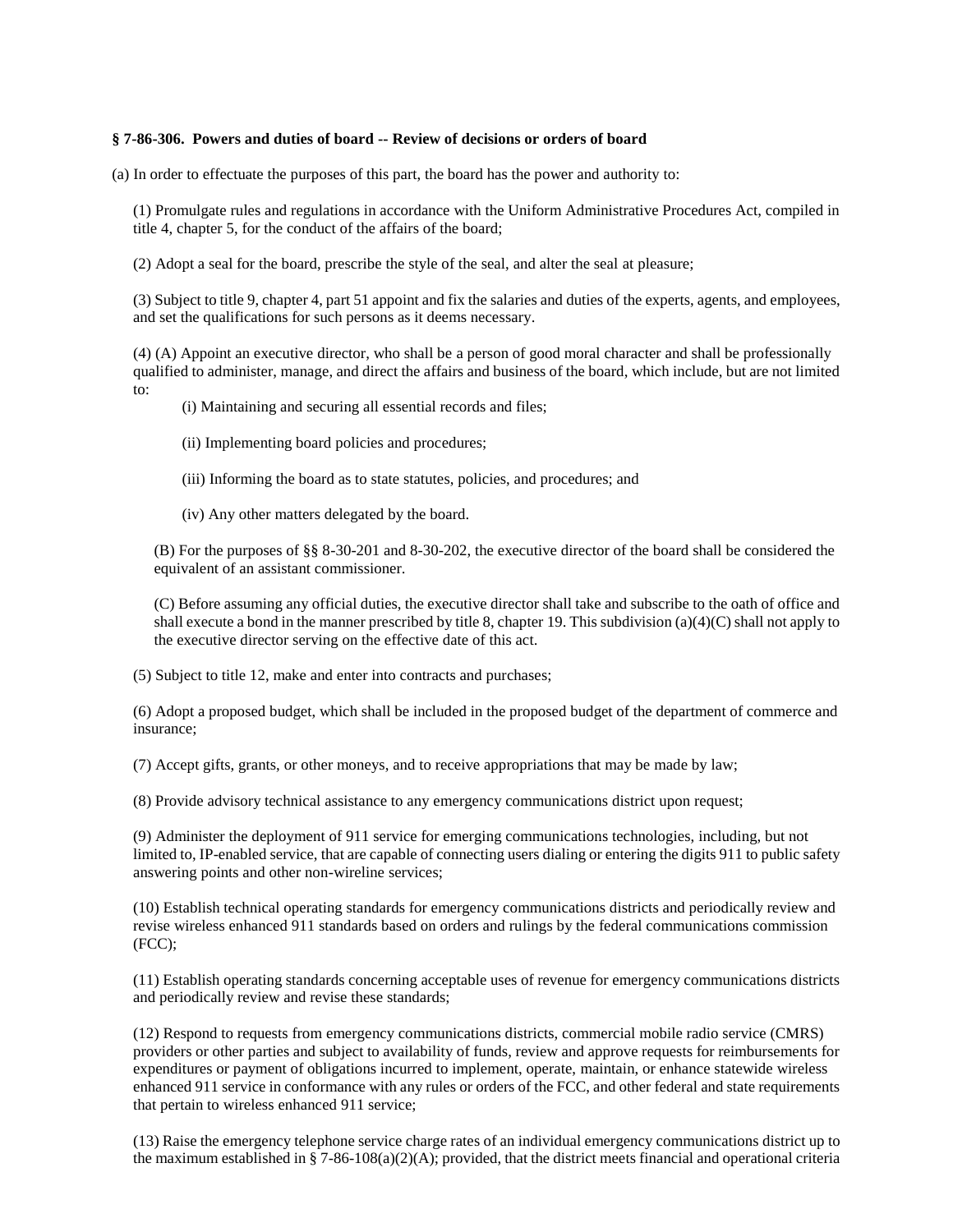#### <span id="page-23-0"></span>**§ 7-86-306. Powers and duties of board -- Review of decisions or orders of board**

(a) In order to effectuate the purposes of this part, the board has the power and authority to:

(1) Promulgate rules and regulations in accordance with the Uniform Administrative Procedures Act, compiled in title 4, chapter 5, for the conduct of the affairs of the board;

(2) Adopt a seal for the board, prescribe the style of the seal, and alter the seal at pleasure;

(3) Subject to title 9, chapter 4, part 51 appoint and fix the salaries and duties of the experts, agents, and employees, and set the qualifications for such persons as it deems necessary.

(4) (A) Appoint an executive director, who shall be a person of good moral character and shall be professionally qualified to administer, manage, and direct the affairs and business of the board, which include, but are not limited to:

(i) Maintaining and securing all essential records and files;

- (ii) Implementing board policies and procedures;
- (iii) Informing the board as to state statutes, policies, and procedures; and
- (iv) Any other matters delegated by the board.

(B) For the purposes of §§ 8-30-201 and 8-30-202, the executive director of the board shall be considered the equivalent of an assistant commissioner.

(C) Before assuming any official duties, the executive director shall take and subscribe to the oath of office and shall execute a bond in the manner prescribed by title 8, chapter 19. This subdivision  $(a)(4)(C)$  shall not apply to the executive director serving on the effective date of this act.

(5) Subject to title 12, make and enter into contracts and purchases;

(6) Adopt a proposed budget, which shall be included in the proposed budget of the department of commerce and insurance;

(7) Accept gifts, grants, or other moneys, and to receive appropriations that may be made by law;

(8) Provide advisory technical assistance to any emergency communications district upon request;

(9) Administer the deployment of 911 service for emerging communications technologies, including, but not limited to, IP-enabled service, that are capable of connecting users dialing or entering the digits 911 to public safety answering points and other non-wireline services;

(10) Establish technical operating standards for emergency communications districts and periodically review and revise wireless enhanced 911 standards based on orders and rulings by the federal communications commission (FCC);

(11) Establish operating standards concerning acceptable uses of revenue for emergency communications districts and periodically review and revise these standards;

(12) Respond to requests from emergency communications districts, commercial mobile radio service (CMRS) providers or other parties and subject to availability of funds, review and approve requests for reimbursements for expenditures or payment of obligations incurred to implement, operate, maintain, or enhance statewide wireless enhanced 911 service in conformance with any rules or orders of the FCC, and other federal and state requirements that pertain to wireless enhanced 911 service;

(13) Raise the emergency telephone service charge rates of an individual emergency communications district up to the maximum established in § 7-86-108(a)(2)(A); provided, that the district meets financial and operational criteria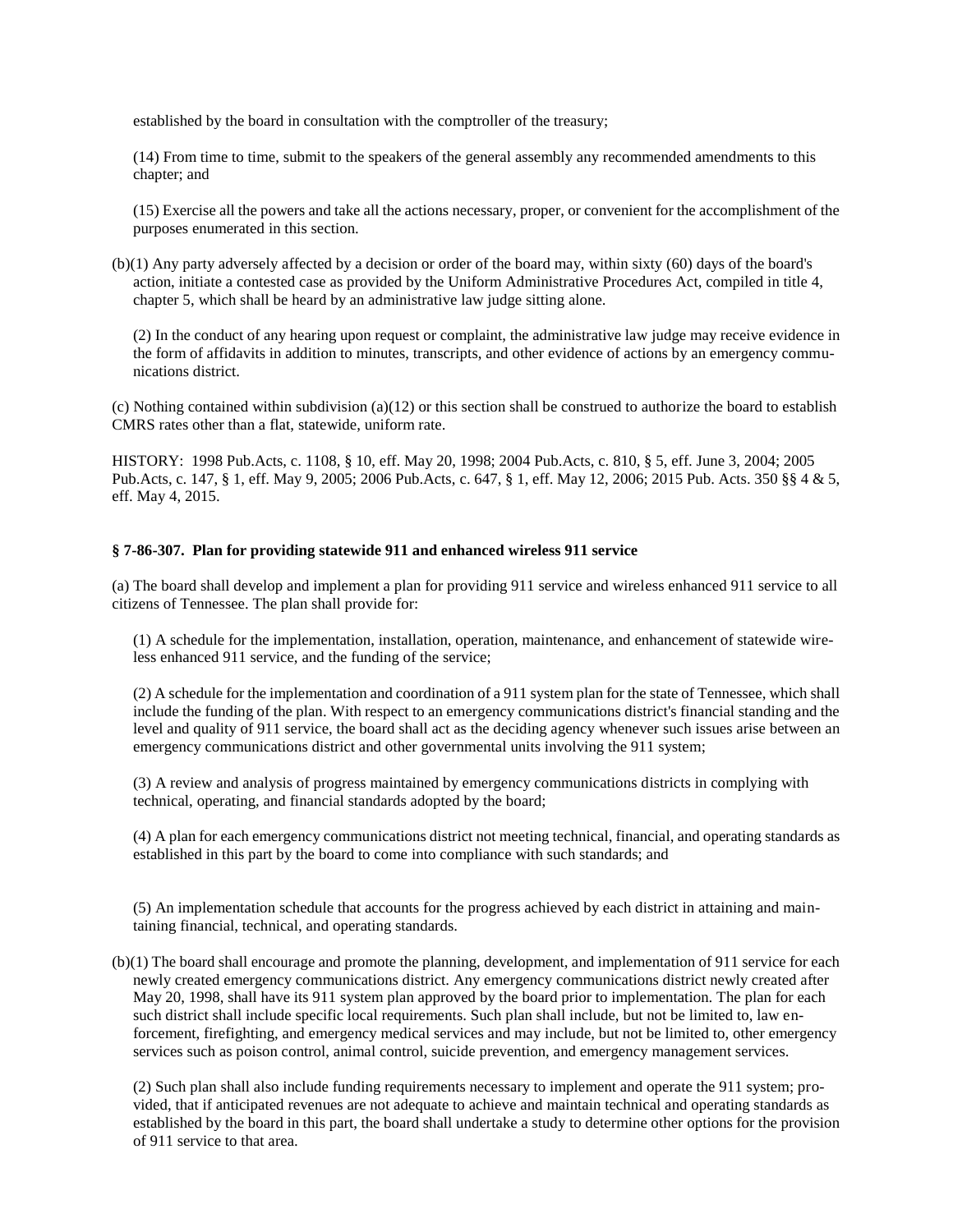established by the board in consultation with the comptroller of the treasury;

(14) From time to time, submit to the speakers of the general assembly any recommended amendments to this chapter; and

(15) Exercise all the powers and take all the actions necessary, proper, or convenient for the accomplishment of the purposes enumerated in this section.

(b)(1) Any party adversely affected by a decision or order of the board may, within sixty (60) days of the board's action, initiate a contested case as provided by the Uniform Administrative Procedures Act, compiled in title 4, chapter 5, which shall be heard by an administrative law judge sitting alone.

(2) In the conduct of any hearing upon request or complaint, the administrative law judge may receive evidence in the form of affidavits in addition to minutes, transcripts, and other evidence of actions by an emergency communications district.

(c) Nothing contained within subdivision (a)(12) or this section shall be construed to authorize the board to establish CMRS rates other than a flat, statewide, uniform rate.

HISTORY: 1998 Pub.Acts, c. 1108, § 10, eff. May 20, 1998; 2004 Pub.Acts, c. 810, § 5, eff. June 3, 2004; 2005 Pub.Acts, c. 147, § 1, eff. May 9, 2005; 2006 Pub.Acts, c. 647, § 1, eff. May 12, 2006; 2015 Pub. Acts. 350 §§ 4 & 5, eff. May 4, 2015.

## <span id="page-24-0"></span>**§ 7-86-307. Plan for providing statewide 911 and enhanced wireless 911 service**

(a) The board shall develop and implement a plan for providing 911 service and wireless enhanced 911 service to all citizens of Tennessee. The plan shall provide for:

(1) A schedule for the implementation, installation, operation, maintenance, and enhancement of statewide wireless enhanced 911 service, and the funding of the service;

(2) A schedule for the implementation and coordination of a 911 system plan for the state of Tennessee, which shall include the funding of the plan. With respect to an emergency communications district's financial standing and the level and quality of 911 service, the board shall act as the deciding agency whenever such issues arise between an emergency communications district and other governmental units involving the 911 system;

(3) A review and analysis of progress maintained by emergency communications districts in complying with technical, operating, and financial standards adopted by the board;

(4) A plan for each emergency communications district not meeting technical, financial, and operating standards as established in this part by the board to come into compliance with such standards; and

(5) An implementation schedule that accounts for the progress achieved by each district in attaining and maintaining financial, technical, and operating standards.

(b)(1) The board shall encourage and promote the planning, development, and implementation of 911 service for each newly created emergency communications district. Any emergency communications district newly created after May 20, 1998, shall have its 911 system plan approved by the board prior to implementation. The plan for each such district shall include specific local requirements. Such plan shall include, but not be limited to, law enforcement, firefighting, and emergency medical services and may include, but not be limited to, other emergency services such as poison control, animal control, suicide prevention, and emergency management services.

(2) Such plan shall also include funding requirements necessary to implement and operate the 911 system; provided, that if anticipated revenues are not adequate to achieve and maintain technical and operating standards as established by the board in this part, the board shall undertake a study to determine other options for the provision of 911 service to that area.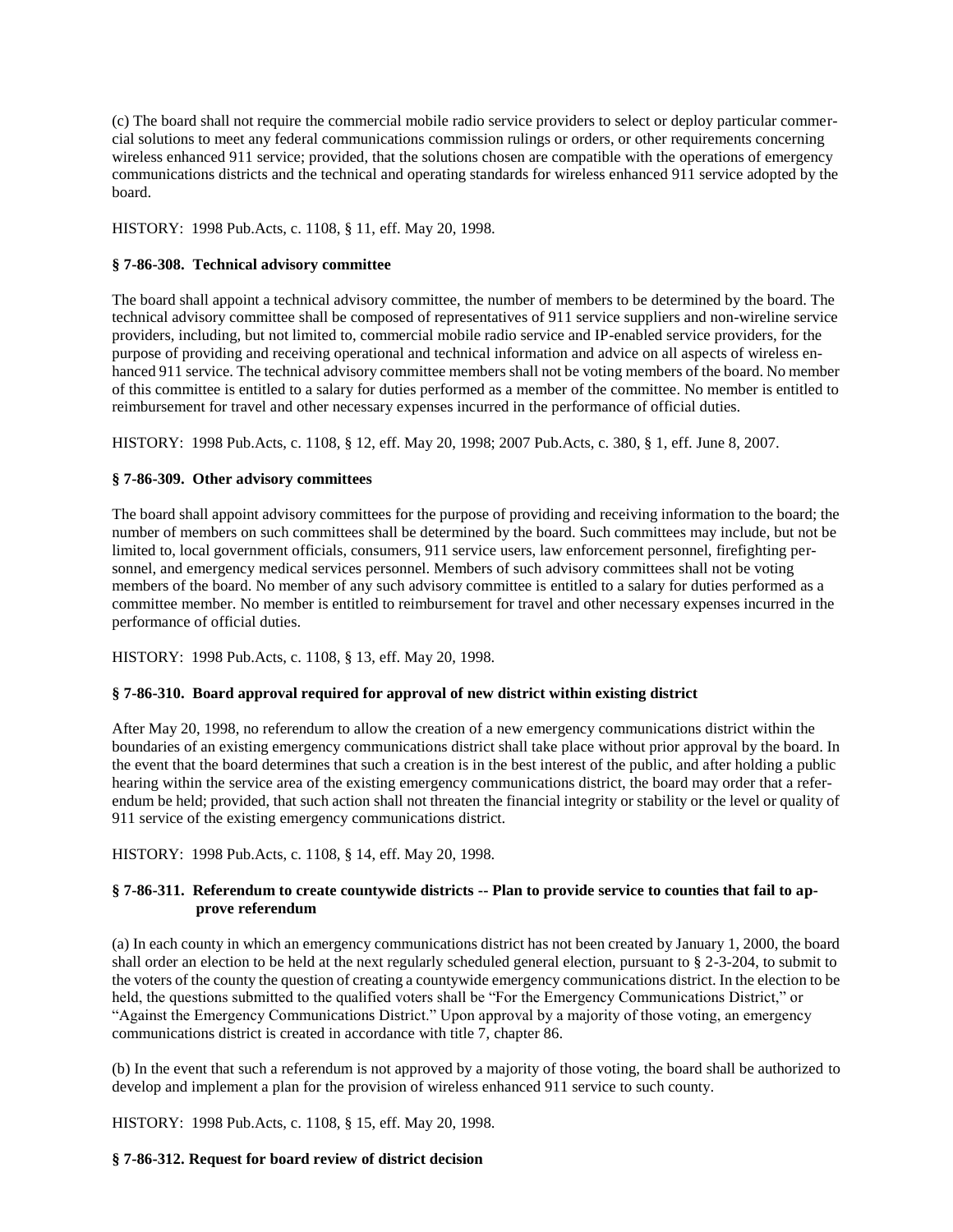(c) The board shall not require the commercial mobile radio service providers to select or deploy particular commercial solutions to meet any federal communications commission rulings or orders, or other requirements concerning wireless enhanced 911 service; provided, that the solutions chosen are compatible with the operations of emergency communications districts and the technical and operating standards for wireless enhanced 911 service adopted by the board.

HISTORY: 1998 Pub.Acts, c. 1108, § 11, eff. May 20, 1998.

# <span id="page-25-0"></span>**§ 7-86-308. Technical advisory committee**

The board shall appoint a technical advisory committee, the number of members to be determined by the board. The technical advisory committee shall be composed of representatives of 911 service suppliers and non-wireline service providers, including, but not limited to, commercial mobile radio service and IP-enabled service providers, for the purpose of providing and receiving operational and technical information and advice on all aspects of wireless enhanced 911 service. The technical advisory committee members shall not be voting members of the board. No member of this committee is entitled to a salary for duties performed as a member of the committee. No member is entitled to reimbursement for travel and other necessary expenses incurred in the performance of official duties.

HISTORY: 1998 Pub.Acts, c. 1108, § 12, eff. May 20, 1998; 2007 Pub.Acts, c. 380, § 1, eff. June 8, 2007.

# <span id="page-25-1"></span>**§ 7-86-309. Other advisory committees**

The board shall appoint advisory committees for the purpose of providing and receiving information to the board; the number of members on such committees shall be determined by the board. Such committees may include, but not be limited to, local government officials, consumers, 911 service users, law enforcement personnel, firefighting personnel, and emergency medical services personnel. Members of such advisory committees shall not be voting members of the board. No member of any such advisory committee is entitled to a salary for duties performed as a committee member. No member is entitled to reimbursement for travel and other necessary expenses incurred in the performance of official duties.

HISTORY: 1998 Pub.Acts, c. 1108, § 13, eff. May 20, 1998.

# <span id="page-25-2"></span>**§ 7-86-310. Board approval required for approval of new district within existing district**

After May 20, 1998, no referendum to allow the creation of a new emergency communications district within the boundaries of an existing emergency communications district shall take place without prior approval by the board. In the event that the board determines that such a creation is in the best interest of the public, and after holding a public hearing within the service area of the existing emergency communications district, the board may order that a referendum be held; provided, that such action shall not threaten the financial integrity or stability or the level or quality of 911 service of the existing emergency communications district.

<span id="page-25-3"></span>HISTORY: 1998 Pub.Acts, c. 1108, § 14, eff. May 20, 1998.

# **§ 7-86-311. Referendum to create countywide districts -- Plan to provide service to counties that fail to approve referendum**

(a) In each county in which an emergency communications district has not been created by January 1, 2000, the board shall order an election to be held at the next regularly scheduled general election, pursuant to § 2-3-204, to submit to the voters of the county the question of creating a countywide emergency communications district. In the election to be held, the questions submitted to the qualified voters shall be "For the Emergency Communications District," or "Against the Emergency Communications District." Upon approval by a majority of those voting, an emergency communications district is created in accordance with title 7, chapter 86.

(b) In the event that such a referendum is not approved by a majority of those voting, the board shall be authorized to develop and implement a plan for the provision of wireless enhanced 911 service to such county.

HISTORY: 1998 Pub.Acts, c. 1108, § 15, eff. May 20, 1998.

### <span id="page-25-4"></span>**§ 7-86-312. Request for board review of district decision**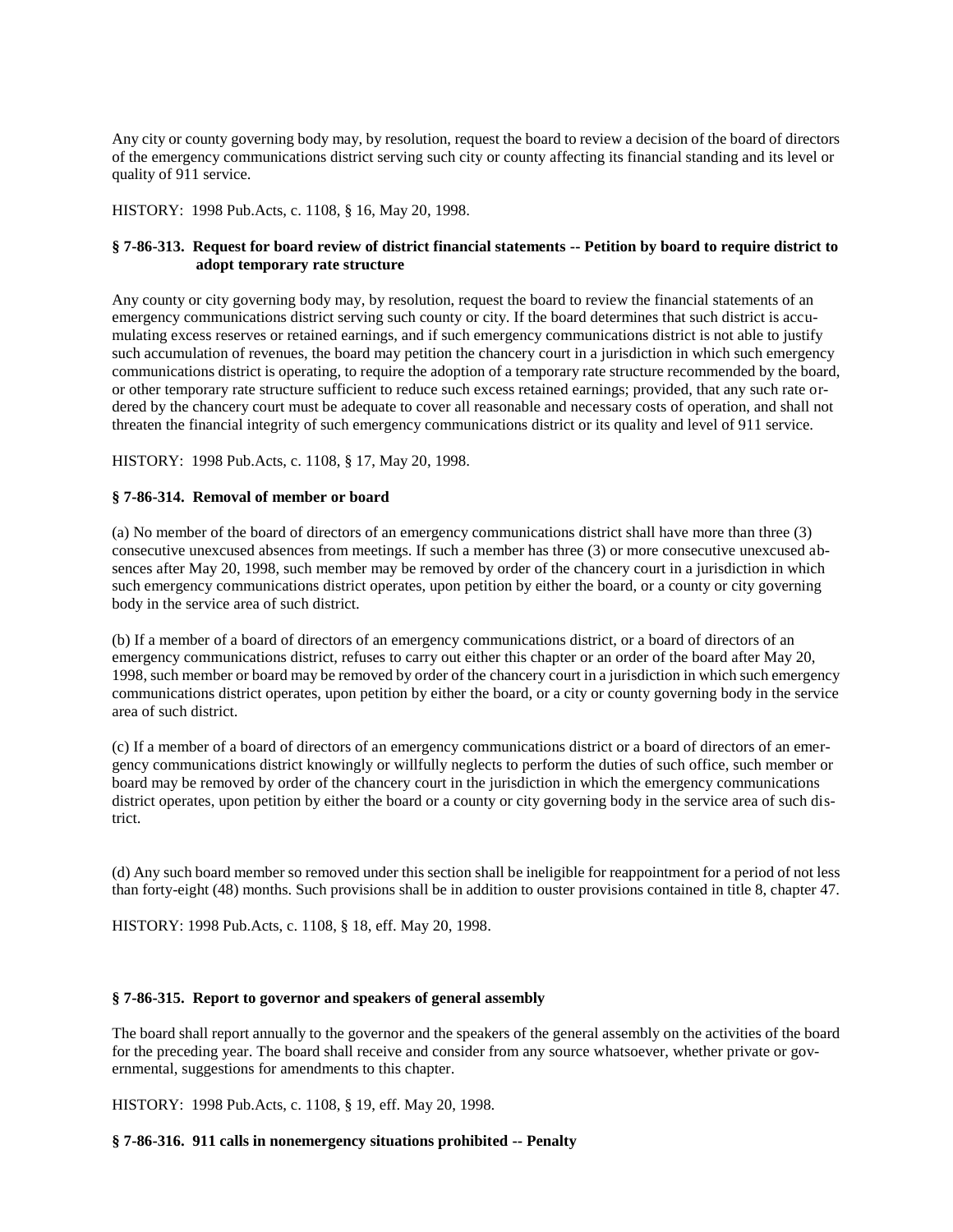Any city or county governing body may, by resolution, request the board to review a decision of the board of directors of the emergency communications district serving such city or county affecting its financial standing and its level or quality of 911 service.

HISTORY: 1998 Pub.Acts, c. 1108, § 16, May 20, 1998.

# <span id="page-26-0"></span>**§ 7-86-313. Request for board review of district financial statements -- Petition by board to require district to adopt temporary rate structure**

Any county or city governing body may, by resolution, request the board to review the financial statements of an emergency communications district serving such county or city. If the board determines that such district is accumulating excess reserves or retained earnings, and if such emergency communications district is not able to justify such accumulation of revenues, the board may petition the chancery court in a jurisdiction in which such emergency communications district is operating, to require the adoption of a temporary rate structure recommended by the board, or other temporary rate structure sufficient to reduce such excess retained earnings; provided, that any such rate ordered by the chancery court must be adequate to cover all reasonable and necessary costs of operation, and shall not threaten the financial integrity of such emergency communications district or its quality and level of 911 service.

HISTORY: 1998 Pub.Acts, c. 1108, § 17, May 20, 1998.

## <span id="page-26-1"></span>**§ 7-86-314. Removal of member or board**

(a) No member of the board of directors of an emergency communications district shall have more than three (3) consecutive unexcused absences from meetings. If such a member has three (3) or more consecutive unexcused absences after May 20, 1998, such member may be removed by order of the chancery court in a jurisdiction in which such emergency communications district operates, upon petition by either the board, or a county or city governing body in the service area of such district.

(b) If a member of a board of directors of an emergency communications district, or a board of directors of an emergency communications district, refuses to carry out either this chapter or an order of the board after May 20, 1998, such member or board may be removed by order of the chancery court in a jurisdiction in which such emergency communications district operates, upon petition by either the board, or a city or county governing body in the service area of such district.

(c) If a member of a board of directors of an emergency communications district or a board of directors of an emergency communications district knowingly or willfully neglects to perform the duties of such office, such member or board may be removed by order of the chancery court in the jurisdiction in which the emergency communications district operates, upon petition by either the board or a county or city governing body in the service area of such district.

(d) Any such board member so removed under this section shall be ineligible for reappointment for a period of not less than forty-eight (48) months. Such provisions shall be in addition to ouster provisions contained in title 8, chapter 47.

<span id="page-26-2"></span>HISTORY: 1998 Pub.Acts, c. 1108, § 18, eff. May 20, 1998.

### **§ 7-86-315. Report to governor and speakers of general assembly**

The board shall report annually to the governor and the speakers of the general assembly on the activities of the board for the preceding year. The board shall receive and consider from any source whatsoever, whether private or governmental, suggestions for amendments to this chapter.

HISTORY: 1998 Pub.Acts, c. 1108, § 19, eff. May 20, 1998.

<span id="page-26-3"></span>**§ 7-86-316. 911 calls in nonemergency situations prohibited -- Penalty**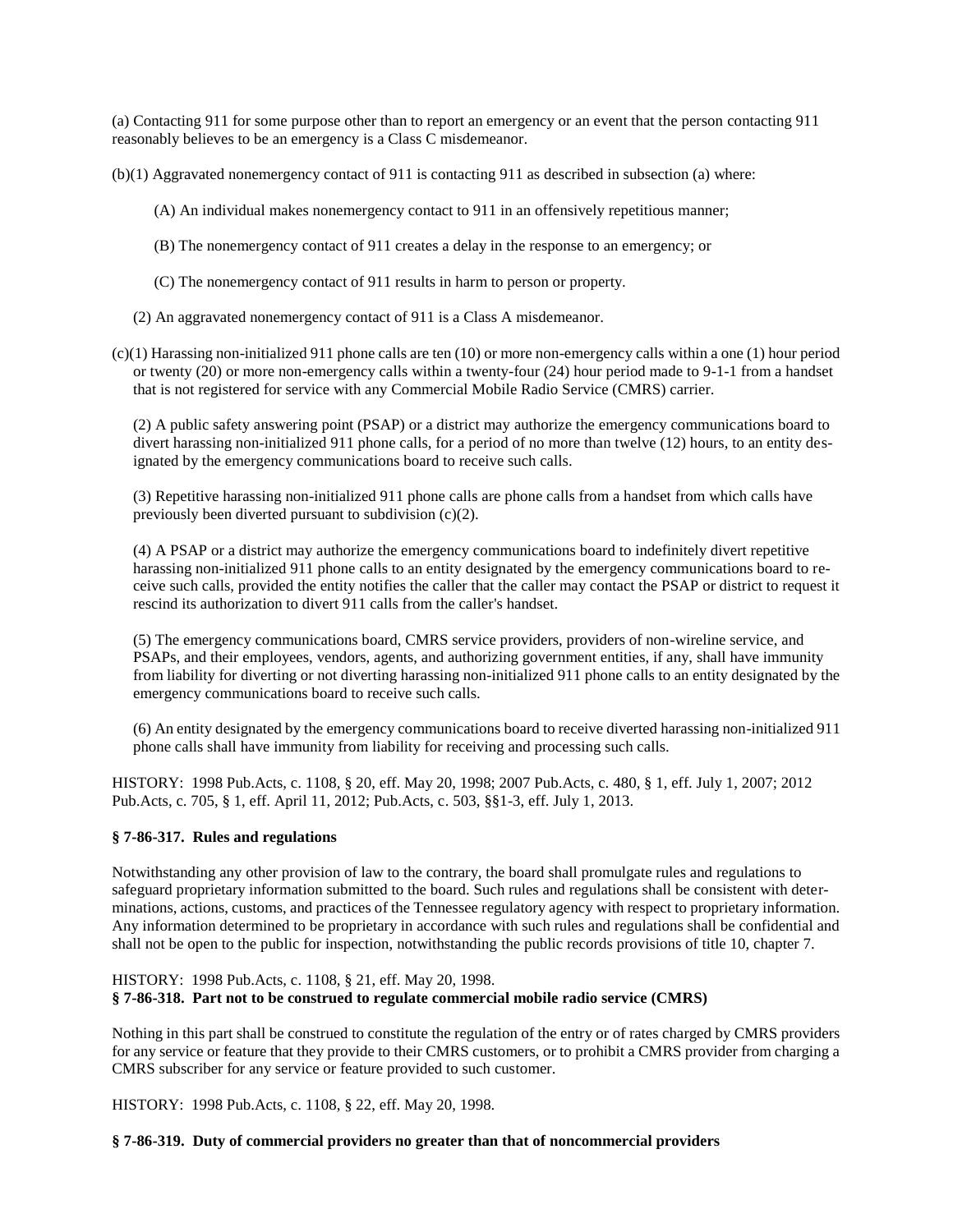(a) Contacting 911 for some purpose other than to report an emergency or an event that the person contacting 911 reasonably believes to be an emergency is a Class C misdemeanor.

(b)(1) Aggravated nonemergency contact of 911 is contacting 911 as described in subsection (a) where:

- (A) An individual makes nonemergency contact to 911 in an offensively repetitious manner;
- (B) The nonemergency contact of 911 creates a delay in the response to an emergency; or
- (C) The nonemergency contact of 911 results in harm to person or property.
- (2) An aggravated nonemergency contact of 911 is a Class A misdemeanor.
- $(c)(1)$  Harassing non-initialized 911 phone calls are ten (10) or more non-emergency calls within a one (1) hour period or twenty (20) or more non-emergency calls within a twenty-four (24) hour period made to 9-1-1 from a handset that is not registered for service with any Commercial Mobile Radio Service (CMRS) carrier.

(2) A public safety answering point (PSAP) or a district may authorize the emergency communications board to divert harassing non-initialized 911 phone calls, for a period of no more than twelve (12) hours, to an entity designated by the emergency communications board to receive such calls.

(3) Repetitive harassing non-initialized 911 phone calls are phone calls from a handset from which calls have previously been diverted pursuant to subdivision (c)(2).

(4) A PSAP or a district may authorize the emergency communications board to indefinitely divert repetitive harassing non-initialized 911 phone calls to an entity designated by the emergency communications board to receive such calls, provided the entity notifies the caller that the caller may contact the PSAP or district to request it rescind its authorization to divert 911 calls from the caller's handset.

(5) The emergency communications board, CMRS service providers, providers of non-wireline service, and PSAPs, and their employees, vendors, agents, and authorizing government entities, if any, shall have immunity from liability for diverting or not diverting harassing non-initialized 911 phone calls to an entity designated by the emergency communications board to receive such calls.

(6) An entity designated by the emergency communications board to receive diverted harassing non-initialized 911 phone calls shall have immunity from liability for receiving and processing such calls.

HISTORY: 1998 Pub.Acts, c. 1108, § 20, eff. May 20, 1998; 2007 Pub.Acts, c. 480, § 1, eff. July 1, 2007; 2012 Pub.Acts, c. 705, § 1, eff. April 11, 2012; Pub.Acts, c. 503, §§1-3, eff. July 1, 2013.

# <span id="page-27-0"></span>**§ 7-86-317. Rules and regulations**

Notwithstanding any other provision of law to the contrary, the board shall promulgate rules and regulations to safeguard proprietary information submitted to the board. Such rules and regulations shall be consistent with determinations, actions, customs, and practices of the Tennessee regulatory agency with respect to proprietary information. Any information determined to be proprietary in accordance with such rules and regulations shall be confidential and shall not be open to the public for inspection, notwithstanding the public records provisions of title 10, chapter 7.

# <span id="page-27-1"></span>HISTORY: 1998 Pub.Acts, c. 1108, § 21, eff. May 20, 1998. **§ 7-86-318. Part not to be construed to regulate commercial mobile radio service (CMRS)**

Nothing in this part shall be construed to constitute the regulation of the entry or of rates charged by CMRS providers for any service or feature that they provide to their CMRS customers, or to prohibit a CMRS provider from charging a CMRS subscriber for any service or feature provided to such customer.

HISTORY: 1998 Pub.Acts, c. 1108, § 22, eff. May 20, 1998.

### <span id="page-27-2"></span>**§ 7-86-319. Duty of commercial providers no greater than that of noncommercial providers**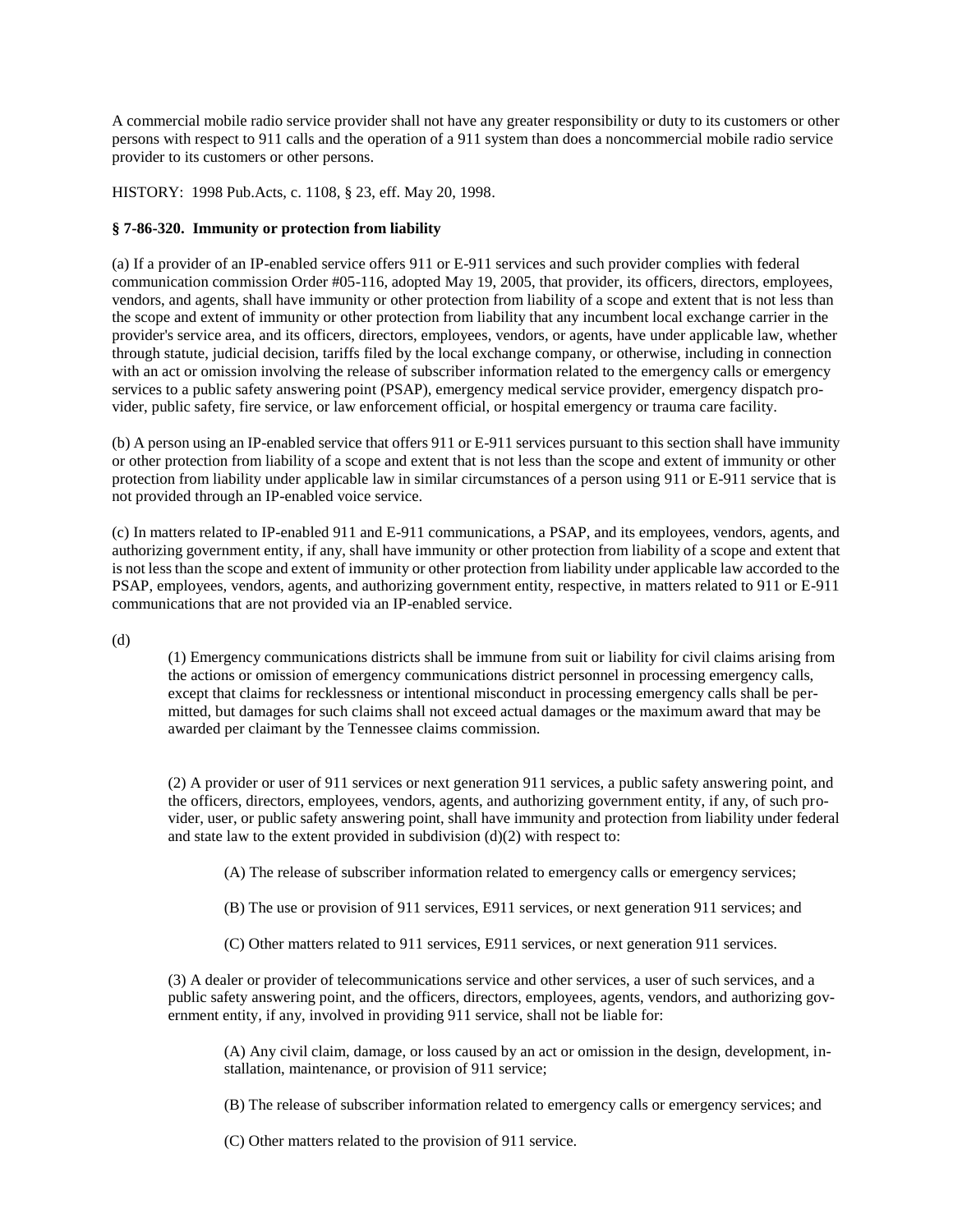A commercial mobile radio service provider shall not have any greater responsibility or duty to its customers or other persons with respect to 911 calls and the operation of a 911 system than does a noncommercial mobile radio service provider to its customers or other persons.

HISTORY: 1998 Pub.Acts, c. 1108, § 23, eff. May 20, 1998.

# <span id="page-28-0"></span>**§ 7-86-320. Immunity or protection from liability**

(a) If a provider of an IP-enabled service offers 911 or E-911 services and such provider complies with federal communication commission Order #05-116, adopted May 19, 2005, that provider, its officers, directors, employees, vendors, and agents, shall have immunity or other protection from liability of a scope and extent that is not less than the scope and extent of immunity or other protection from liability that any incumbent local exchange carrier in the provider's service area, and its officers, directors, employees, vendors, or agents, have under applicable law, whether through statute, judicial decision, tariffs filed by the local exchange company, or otherwise, including in connection with an act or omission involving the release of subscriber information related to the emergency calls or emergency services to a public safety answering point (PSAP), emergency medical service provider, emergency dispatch provider, public safety, fire service, or law enforcement official, or hospital emergency or trauma care facility.

(b) A person using an IP-enabled service that offers 911 or E-911 services pursuant to this section shall have immunity or other protection from liability of a scope and extent that is not less than the scope and extent of immunity or other protection from liability under applicable law in similar circumstances of a person using 911 or E-911 service that is not provided through an IP-enabled voice service.

(c) In matters related to IP-enabled 911 and E-911 communications, a PSAP, and its employees, vendors, agents, and authorizing government entity, if any, shall have immunity or other protection from liability of a scope and extent that is not less than the scope and extent of immunity or other protection from liability under applicable law accorded to the PSAP, employees, vendors, agents, and authorizing government entity, respective, in matters related to 911 or E-911 communications that are not provided via an IP-enabled service.

(d)

(1) Emergency communications districts shall be immune from suit or liability for civil claims arising from the actions or omission of emergency communications district personnel in processing emergency calls, except that claims for recklessness or intentional misconduct in processing emergency calls shall be permitted, but damages for such claims shall not exceed actual damages or the maximum award that may be awarded per claimant by the Tennessee claims commission.

(2) A provider or user of 911 services or next generation 911 services, a public safety answering point, and the officers, directors, employees, vendors, agents, and authorizing government entity, if any, of such provider, user, or public safety answering point, shall have immunity and protection from liability under federal and state law to the extent provided in subdivision  $(d)(2)$  with respect to:

(A) The release of subscriber information related to emergency calls or emergency services;

(B) The use or provision of 911 services, E911 services, or next generation 911 services; and

(C) Other matters related to 911 services, E911 services, or next generation 911 services.

(3) A dealer or provider of telecommunications service and other services, a user of such services, and a public safety answering point, and the officers, directors, employees, agents, vendors, and authorizing government entity, if any, involved in providing 911 service, shall not be liable for:

(A) Any civil claim, damage, or loss caused by an act or omission in the design, development, installation, maintenance, or provision of 911 service;

(B) The release of subscriber information related to emergency calls or emergency services; and

(C) Other matters related to the provision of 911 service.